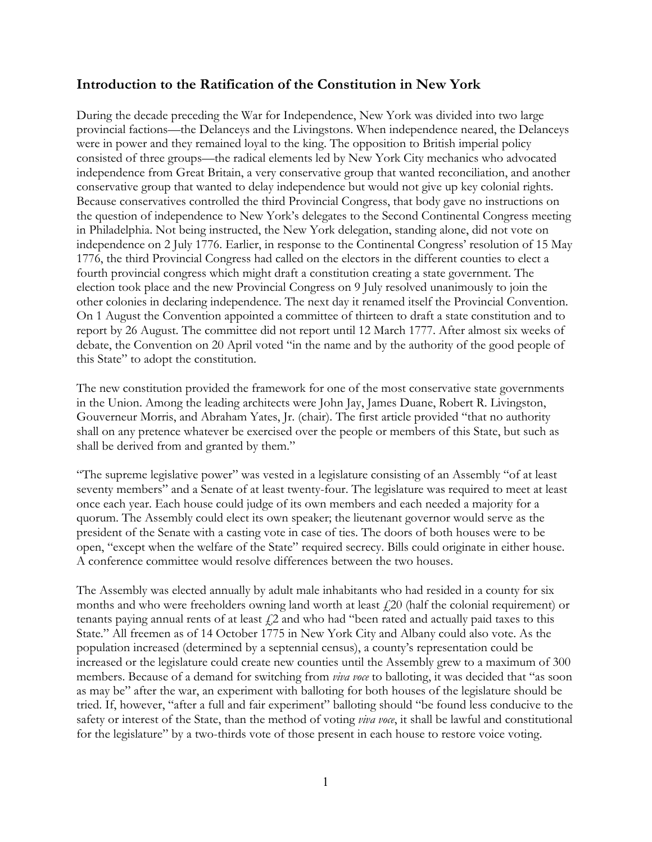# **Introduction to the Ratification of the Constitution in New York**

During the decade preceding the War for Independence, New York was divided into two large provincial factions—the Delanceys and the Livingstons. When independence neared, the Delanceys were in power and they remained loyal to the king. The opposition to British imperial policy consisted of three groups—the radical elements led by New York City mechanics who advocated independence from Great Britain, a very conservative group that wanted reconciliation, and another conservative group that wanted to delay independence but would not give up key colonial rights. Because conservatives controlled the third Provincial Congress, that body gave no instructions on the question of independence to New York's delegates to the Second Continental Congress meeting in Philadelphia. Not being instructed, the New York delegation, standing alone, did not vote on independence on 2 July 1776. Earlier, in response to the Continental Congress' resolution of 15 May 1776, the third Provincial Congress had called on the electors in the different counties to elect a fourth provincial congress which might draft a constitution creating a state government. The election took place and the new Provincial Congress on 9 July resolved unanimously to join the other colonies in declaring independence. The next day it renamed itself the Provincial Convention. On 1 August the Convention appointed a committee of thirteen to draft a state constitution and to report by 26 August. The committee did not report until 12 March 1777. After almost six weeks of debate, the Convention on 20 April voted "in the name and by the authority of the good people of this State" to adopt the constitution.

The new constitution provided the framework for one of the most conservative state governments in the Union. Among the leading architects were John Jay, James Duane, Robert R. Livingston, Gouverneur Morris, and Abraham Yates, Jr. (chair). The first article provided "that no authority shall on any pretence whatever be exercised over the people or members of this State, but such as shall be derived from and granted by them."

"The supreme legislative power" was vested in a legislature consisting of an Assembly "of at least seventy members" and a Senate of at least twenty-four. The legislature was required to meet at least once each year. Each house could judge of its own members and each needed a majority for a quorum. The Assembly could elect its own speaker; the lieutenant governor would serve as the president of the Senate with a casting vote in case of ties. The doors of both houses were to be open, "except when the welfare of the State" required secrecy. Bills could originate in either house. A conference committee would resolve differences between the two houses.

The Assembly was elected annually by adult male inhabitants who had resided in a county for six months and who were freeholders owning land worth at least  $\ell$  20 (half the colonial requirement) or tenants paying annual rents of at least  $\ell$  and who had "been rated and actually paid taxes to this State." All freemen as of 14 October 1775 in New York City and Albany could also vote. As the population increased (determined by a septennial census), a county's representation could be increased or the legislature could create new counties until the Assembly grew to a maximum of 300 members. Because of a demand for switching from *viva voce* to balloting, it was decided that "as soon as may be" after the war, an experiment with balloting for both houses of the legislature should be tried. If, however, "after a full and fair experiment" balloting should "be found less conducive to the safety or interest of the State, than the method of voting *viva voce*, it shall be lawful and constitutional for the legislature" by a two-thirds vote of those present in each house to restore voice voting.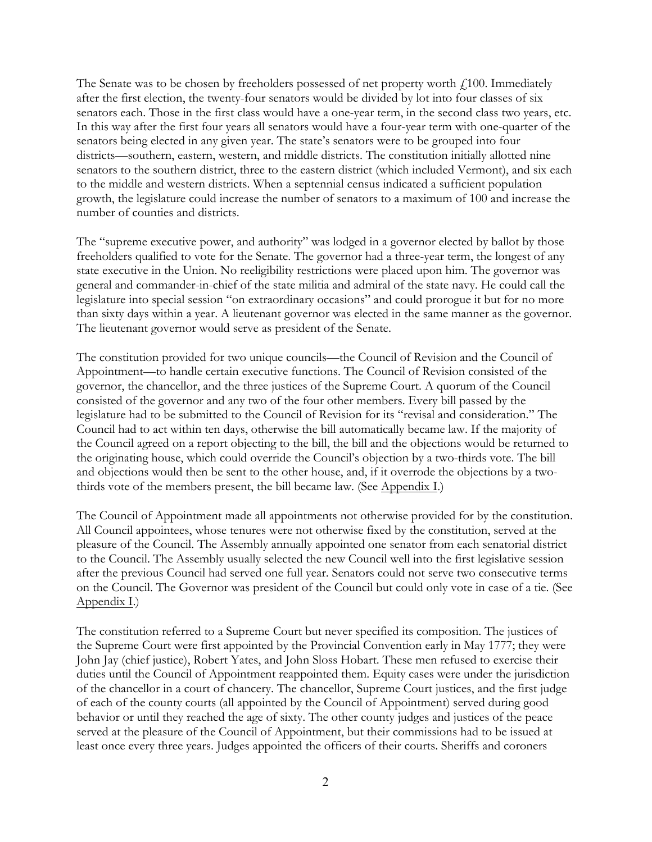The Senate was to be chosen by freeholders possessed of net property worth  $\dot{\tau}$  100. Immediately after the first election, the twenty-four senators would be divided by lot into four classes of six senators each. Those in the first class would have a one-year term, in the second class two years, etc. In this way after the first four years all senators would have a four-year term with one-quarter of the senators being elected in any given year. The state's senators were to be grouped into four districts—southern, eastern, western, and middle districts. The constitution initially allotted nine senators to the southern district, three to the eastern district (which included Vermont), and six each to the middle and western districts. When a septennial census indicated a sufficient population growth, the legislature could increase the number of senators to a maximum of 100 and increase the number of counties and districts.

The "supreme executive power, and authority" was lodged in a governor elected by ballot by those freeholders qualified to vote for the Senate. The governor had a three-year term, the longest of any state executive in the Union. No reeligibility restrictions were placed upon him. The governor was general and commander-in-chief of the state militia and admiral of the state navy. He could call the legislature into special session "on extraordinary occasions" and could prorogue it but for no more than sixty days within a year. A lieutenant governor was elected in the same manner as the governor. The lieutenant governor would serve as president of the Senate.

The constitution provided for two unique councils—the Council of Revision and the Council of Appointment—to handle certain executive functions. The Council of Revision consisted of the governor, the chancellor, and the three justices of the Supreme Court. A quorum of the Council consisted of the governor and any two of the four other members. Every bill passed by the legislature had to be submitted to the Council of Revision for its "revisal and consideration." The Council had to act within ten days, otherwise the bill automatically became law. If the majority of the Council agreed on a report objecting to the bill, the bill and the objections would be returned to the originating house, which could override the Council's objection by a two-thirds vote. The bill and objections would then be sent to the other house, and, if it overrode the objections by a twothirds vote of the members present, the bill became law. (See Appendix I.)

The Council of Appointment made all appointments not otherwise provided for by the constitution. All Council appointees, whose tenures were not otherwise fixed by the constitution, served at the pleasure of the Council. The Assembly annually appointed one senator from each senatorial district to the Council. The Assembly usually selected the new Council well into the first legislative session after the previous Council had served one full year. Senators could not serve two consecutive terms on the Council. The Governor was president of the Council but could only vote in case of a tie. (See Appendix I.)

The constitution referred to a Supreme Court but never specified its composition. The justices of the Supreme Court were first appointed by the Provincial Convention early in May 1777; they were John Jay (chief justice), Robert Yates, and John Sloss Hobart. These men refused to exercise their duties until the Council of Appointment reappointed them. Equity cases were under the jurisdiction of the chancellor in a court of chancery. The chancellor, Supreme Court justices, and the first judge of each of the county courts (all appointed by the Council of Appointment) served during good behavior or until they reached the age of sixty. The other county judges and justices of the peace served at the pleasure of the Council of Appointment, but their commissions had to be issued at least once every three years. Judges appointed the officers of their courts. Sheriffs and coroners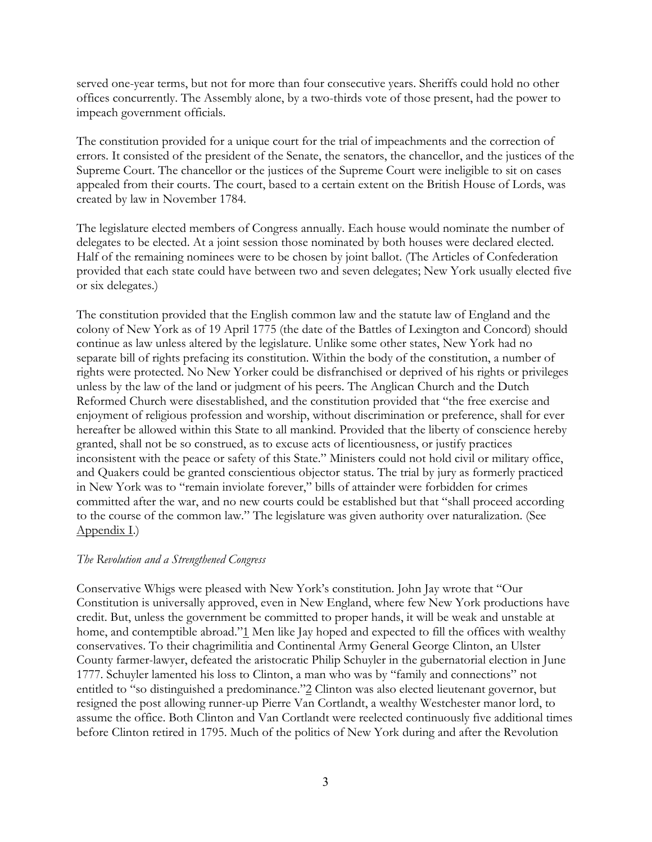served one-year terms, but not for more than four consecutive years. Sheriffs could hold no other offices concurrently. The Assembly alone, by a two-thirds vote of those present, had the power to impeach government officials.

The constitution provided for a unique court for the trial of impeachments and the correction of errors. It consisted of the president of the Senate, the senators, the chancellor, and the justices of the Supreme Court. The chancellor or the justices of the Supreme Court were ineligible to sit on cases appealed from their courts. The court, based to a certain extent on the British House of Lords, was created by law in November 1784.

The legislature elected members of Congress annually. Each house would nominate the number of delegates to be elected. At a joint session those nominated by both houses were declared elected. Half of the remaining nominees were to be chosen by joint ballot. (The Articles of Confederation provided that each state could have between two and seven delegates; New York usually elected five or six delegates.)

The constitution provided that the English common law and the statute law of England and the colony of New York as of 19 April 1775 (the date of the Battles of Lexington and Concord) should continue as law unless altered by the legislature. Unlike some other states, New York had no separate bill of rights prefacing its constitution. Within the body of the constitution, a number of rights were protected. No New Yorker could be disfranchised or deprived of his rights or privileges unless by the law of the land or judgment of his peers. The Anglican Church and the Dutch Reformed Church were disestablished, and the constitution provided that "the free exercise and enjoyment of religious profession and worship, without discrimination or preference, shall for ever hereafter be allowed within this State to all mankind. Provided that the liberty of conscience hereby granted, shall not be so construed, as to excuse acts of licentiousness, or justify practices inconsistent with the peace or safety of this State." Ministers could not hold civil or military office, and Quakers could be granted conscientious objector status. The trial by jury as formerly practiced in New York was to "remain inviolate forever," bills of attainder were forbidden for crimes committed after the war, and no new courts could be established but that "shall proceed according to the course of the common law." The legislature was given authority over naturalization. (See Appendix I.)

# *The Revolution and a Strengthened Congress*

Conservative Whigs were pleased with New York's constitution. John Jay wrote that "Our Constitution is universally approved, even in New England, where few New York productions have credit. But, unless the government be committed to proper hands, it will be weak and unstable at home, and contemptible abroad."1 Men like Jay hoped and expected to fill the offices with wealthy conservatives. To their chagrimilitia and Continental Army General George Clinton, an Ulster County farmer-lawyer, defeated the aristocratic Philip Schuyler in the gubernatorial election in June 1777. Schuyler lamented his loss to Clinton, a man who was by "family and connections" not entitled to "so distinguished a predominance."2 Clinton was also elected lieutenant governor, but resigned the post allowing runner-up Pierre Van Cortlandt, a wealthy Westchester manor lord, to assume the office. Both Clinton and Van Cortlandt were reelected continuously five additional times before Clinton retired in 1795. Much of the politics of New York during and after the Revolution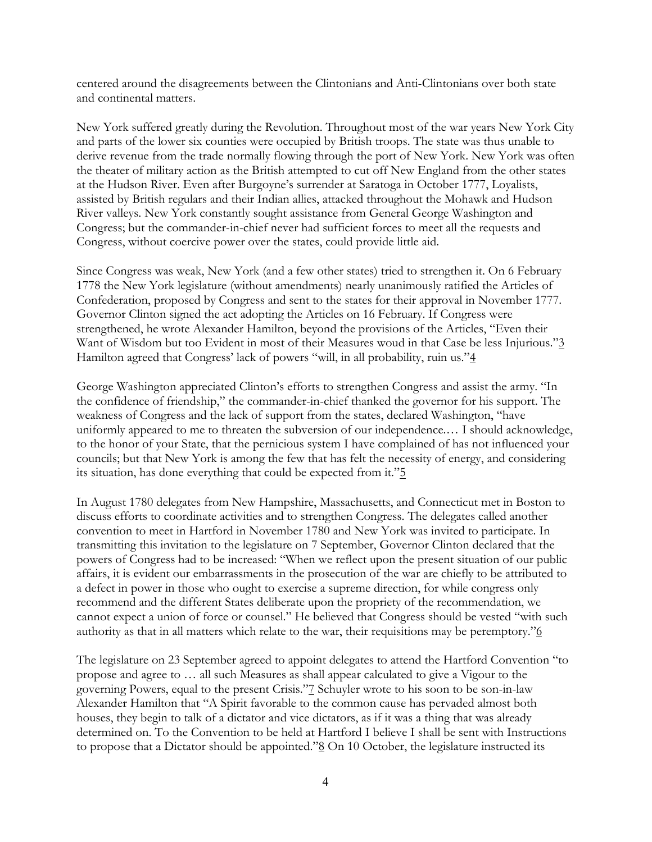centered around the disagreements between the Clintonians and Anti-Clintonians over both state and continental matters.

New York suffered greatly during the Revolution. Throughout most of the war years New York City and parts of the lower six counties were occupied by British troops. The state was thus unable to derive revenue from the trade normally flowing through the port of New York. New York was often the theater of military action as the British attempted to cut off New England from the other states at the Hudson River. Even after Burgoyne's surrender at Saratoga in October 1777, Loyalists, assisted by British regulars and their Indian allies, attacked throughout the Mohawk and Hudson River valleys. New York constantly sought assistance from General George Washington and Congress; but the commander-in-chief never had sufficient forces to meet all the requests and Congress, without coercive power over the states, could provide little aid.

Since Congress was weak, New York (and a few other states) tried to strengthen it. On 6 February 1778 the New York legislature (without amendments) nearly unanimously ratified the Articles of Confederation, proposed by Congress and sent to the states for their approval in November 1777. Governor Clinton signed the act adopting the Articles on 16 February. If Congress were strengthened, he wrote Alexander Hamilton, beyond the provisions of the Articles, "Even their Want of Wisdom but too Evident in most of their Measures woud in that Case be less Injurious."3 Hamilton agreed that Congress' lack of powers "will, in all probability, ruin us."4

George Washington appreciated Clinton's efforts to strengthen Congress and assist the army. "In the confidence of friendship," the commander-in-chief thanked the governor for his support. The weakness of Congress and the lack of support from the states, declared Washington, "have uniformly appeared to me to threaten the subversion of our independence.… I should acknowledge, to the honor of your State, that the pernicious system I have complained of has not influenced your councils; but that New York is among the few that has felt the necessity of energy, and considering its situation, has done everything that could be expected from it."5

In August 1780 delegates from New Hampshire, Massachusetts, and Connecticut met in Boston to discuss efforts to coordinate activities and to strengthen Congress. The delegates called another convention to meet in Hartford in November 1780 and New York was invited to participate. In transmitting this invitation to the legislature on 7 September, Governor Clinton declared that the powers of Congress had to be increased: "When we reflect upon the present situation of our public affairs, it is evident our embarrassments in the prosecution of the war are chiefly to be attributed to a defect in power in those who ought to exercise a supreme direction, for while congress only recommend and the different States deliberate upon the propriety of the recommendation, we cannot expect a union of force or counsel." He believed that Congress should be vested "with such authority as that in all matters which relate to the war, their requisitions may be peremptory."6

The legislature on 23 September agreed to appoint delegates to attend the Hartford Convention "to propose and agree to … all such Measures as shall appear calculated to give a Vigour to the governing Powers, equal to the present Crisis."7 Schuyler wrote to his soon to be son-in-law Alexander Hamilton that "A Spirit favorable to the common cause has pervaded almost both houses, they begin to talk of a dictator and vice dictators, as if it was a thing that was already determined on. To the Convention to be held at Hartford I believe I shall be sent with Instructions to propose that a Dictator should be appointed."8 On 10 October, the legislature instructed its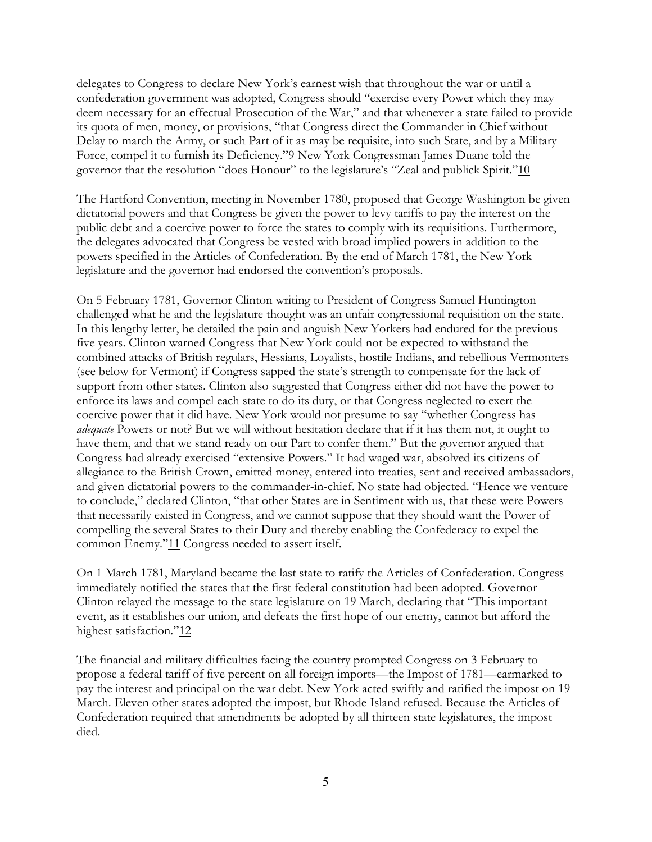delegates to Congress to declare New York's earnest wish that throughout the war or until a confederation government was adopted, Congress should "exercise every Power which they may deem necessary for an effectual Prosecution of the War," and that whenever a state failed to provide its quota of men, money, or provisions, "that Congress direct the Commander in Chief without Delay to march the Army, or such Part of it as may be requisite, into such State, and by a Military Force, compel it to furnish its Deficiency." <u>9</u> New York Congressman James Duane told the governor that the resolution "does Honour" to the legislature's "Zeal and publick Spirit."10

The Hartford Convention, meeting in November 1780, proposed that George Washington be given dictatorial powers and that Congress be given the power to levy tariffs to pay the interest on the public debt and a coercive power to force the states to comply with its requisitions. Furthermore, the delegates advocated that Congress be vested with broad implied powers in addition to the powers specified in the Articles of Confederation. By the end of March 1781, the New York legislature and the governor had endorsed the convention's proposals.

On 5 February 1781, Governor Clinton writing to President of Congress Samuel Huntington challenged what he and the legislature thought was an unfair congressional requisition on the state. In this lengthy letter, he detailed the pain and anguish New Yorkers had endured for the previous five years. Clinton warned Congress that New York could not be expected to withstand the combined attacks of British regulars, Hessians, Loyalists, hostile Indians, and rebellious Vermonters (see below for Vermont) if Congress sapped the state's strength to compensate for the lack of support from other states. Clinton also suggested that Congress either did not have the power to enforce its laws and compel each state to do its duty, or that Congress neglected to exert the coercive power that it did have. New York would not presume to say "whether Congress has *adequate* Powers or not? But we will without hesitation declare that if it has them not, it ought to have them, and that we stand ready on our Part to confer them." But the governor argued that Congress had already exercised "extensive Powers." It had waged war, absolved its citizens of allegiance to the British Crown, emitted money, entered into treaties, sent and received ambassadors, and given dictatorial powers to the commander-in-chief. No state had objected. "Hence we venture to conclude," declared Clinton, "that other States are in Sentiment with us, that these were Powers that necessarily existed in Congress, and we cannot suppose that they should want the Power of compelling the several States to their Duty and thereby enabling the Confederacy to expel the common Enemy."11 Congress needed to assert itself.

On 1 March 1781, Maryland became the last state to ratify the Articles of Confederation. Congress immediately notified the states that the first federal constitution had been adopted. Governor Clinton relayed the message to the state legislature on 19 March, declaring that "This important event, as it establishes our union, and defeats the first hope of our enemy, cannot but afford the highest satisfaction."<sup>12</sup>

The financial and military difficulties facing the country prompted Congress on 3 February to propose a federal tariff of five percent on all foreign imports—the Impost of 1781—earmarked to pay the interest and principal on the war debt. New York acted swiftly and ratified the impost on 19 March. Eleven other states adopted the impost, but Rhode Island refused. Because the Articles of Confederation required that amendments be adopted by all thirteen state legislatures, the impost died.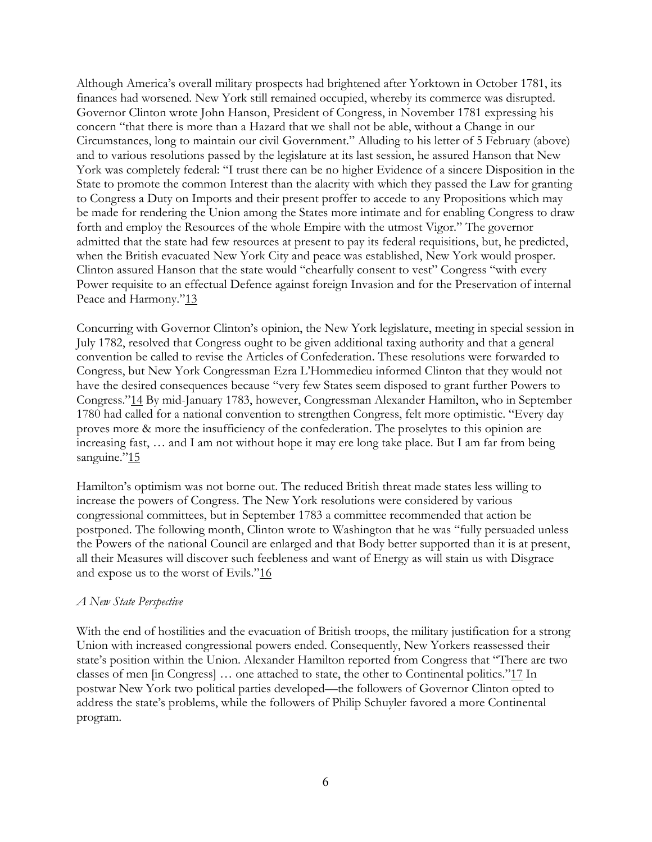Although America's overall military prospects had brightened after Yorktown in October 1781, its finances had worsened. New York still remained occupied, whereby its commerce was disrupted. Governor Clinton wrote John Hanson, President of Congress, in November 1781 expressing his concern "that there is more than a Hazard that we shall not be able, without a Change in our Circumstances, long to maintain our civil Government." Alluding to his letter of 5 February (above) and to various resolutions passed by the legislature at its last session, he assured Hanson that New York was completely federal: "I trust there can be no higher Evidence of a sincere Disposition in the State to promote the common Interest than the alacrity with which they passed the Law for granting to Congress a Duty on Imports and their present proffer to accede to any Propositions which may be made for rendering the Union among the States more intimate and for enabling Congress to draw forth and employ the Resources of the whole Empire with the utmost Vigor." The governor admitted that the state had few resources at present to pay its federal requisitions, but, he predicted, when the British evacuated New York City and peace was established, New York would prosper. Clinton assured Hanson that the state would "chearfully consent to vest" Congress "with every Power requisite to an effectual Defence against foreign Invasion and for the Preservation of internal Peace and Harmony."13

Concurring with Governor Clinton's opinion, the New York legislature, meeting in special session in July 1782, resolved that Congress ought to be given additional taxing authority and that a general convention be called to revise the Articles of Confederation. These resolutions were forwarded to Congress, but New York Congressman Ezra L'Hommedieu informed Clinton that they would not have the desired consequences because "very few States seem disposed to grant further Powers to Congress."14 By mid-January 1783, however, Congressman Alexander Hamilton, who in September 1780 had called for a national convention to strengthen Congress, felt more optimistic. "Every day proves more & more the insufficiency of the confederation. The proselytes to this opinion are increasing fast, … and I am not without hope it may ere long take place. But I am far from being sanguine."15

Hamilton's optimism was not borne out. The reduced British threat made states less willing to increase the powers of Congress. The New York resolutions were considered by various congressional committees, but in September 1783 a committee recommended that action be postponed. The following month, Clinton wrote to Washington that he was "fully persuaded unless the Powers of the national Council are enlarged and that Body better supported than it is at present, all their Measures will discover such feebleness and want of Energy as will stain us with Disgrace and expose us to the worst of Evils."16

# *A New State Perspective*

With the end of hostilities and the evacuation of British troops, the military justification for a strong Union with increased congressional powers ended. Consequently, New Yorkers reassessed their state's position within the Union. Alexander Hamilton reported from Congress that "There are two classes of men [in Congress] … one attached to state, the other to Continental politics."17 In postwar New York two political parties developed—the followers of Governor Clinton opted to address the state's problems, while the followers of Philip Schuyler favored a more Continental program.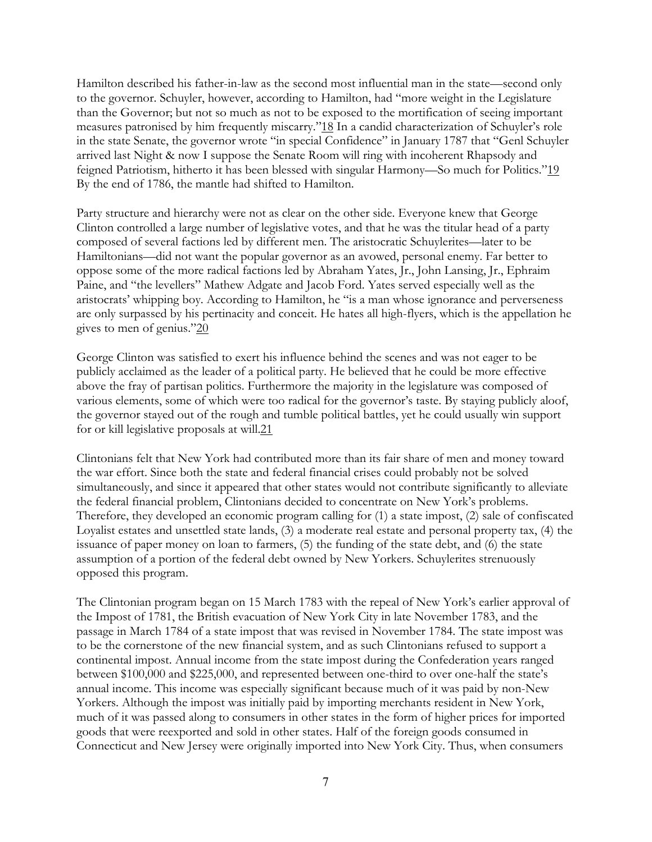Hamilton described his father-in-law as the second most influential man in the state—second only to the governor. Schuyler, however, according to Hamilton, had "more weight in the Legislature than the Governor; but not so much as not to be exposed to the mortification of seeing important measures patronised by him frequently miscarry."18 In a candid characterization of Schuyler's role in the state Senate, the governor wrote "in special Confidence" in January 1787 that "Genl Schuyler arrived last Night & now I suppose the Senate Room will ring with incoherent Rhapsody and feigned Patriotism, hitherto it has been blessed with singular Harmony—So much for Politics."19 By the end of 1786, the mantle had shifted to Hamilton.

Party structure and hierarchy were not as clear on the other side. Everyone knew that George Clinton controlled a large number of legislative votes, and that he was the titular head of a party composed of several factions led by different men. The aristocratic Schuylerites—later to be Hamiltonians—did not want the popular governor as an avowed, personal enemy. Far better to oppose some of the more radical factions led by Abraham Yates, Jr., John Lansing, Jr., Ephraim Paine, and "the levellers" Mathew Adgate and Jacob Ford. Yates served especially well as the aristocrats' whipping boy. According to Hamilton, he "is a man whose ignorance and perverseness are only surpassed by his pertinacity and conceit. He hates all high-flyers, which is the appellation he gives to men of genius."20

George Clinton was satisfied to exert his influence behind the scenes and was not eager to be publicly acclaimed as the leader of a political party. He believed that he could be more effective above the fray of partisan politics. Furthermore the majority in the legislature was composed of various elements, some of which were too radical for the governor's taste. By staying publicly aloof, the governor stayed out of the rough and tumble political battles, yet he could usually win support for or kill legislative proposals at will.21

Clintonians felt that New York had contributed more than its fair share of men and money toward the war effort. Since both the state and federal financial crises could probably not be solved simultaneously, and since it appeared that other states would not contribute significantly to alleviate the federal financial problem, Clintonians decided to concentrate on New York's problems. Therefore, they developed an economic program calling for (1) a state impost, (2) sale of confiscated Loyalist estates and unsettled state lands, (3) a moderate real estate and personal property tax, (4) the issuance of paper money on loan to farmers, (5) the funding of the state debt, and (6) the state assumption of a portion of the federal debt owned by New Yorkers. Schuylerites strenuously opposed this program.

The Clintonian program began on 15 March 1783 with the repeal of New York's earlier approval of the Impost of 1781, the British evacuation of New York City in late November 1783, and the passage in March 1784 of a state impost that was revised in November 1784. The state impost was to be the cornerstone of the new financial system, and as such Clintonians refused to support a continental impost. Annual income from the state impost during the Confederation years ranged between \$100,000 and \$225,000, and represented between one-third to over one-half the state's annual income. This income was especially significant because much of it was paid by non-New Yorkers. Although the impost was initially paid by importing merchants resident in New York, much of it was passed along to consumers in other states in the form of higher prices for imported goods that were reexported and sold in other states. Half of the foreign goods consumed in Connecticut and New Jersey were originally imported into New York City. Thus, when consumers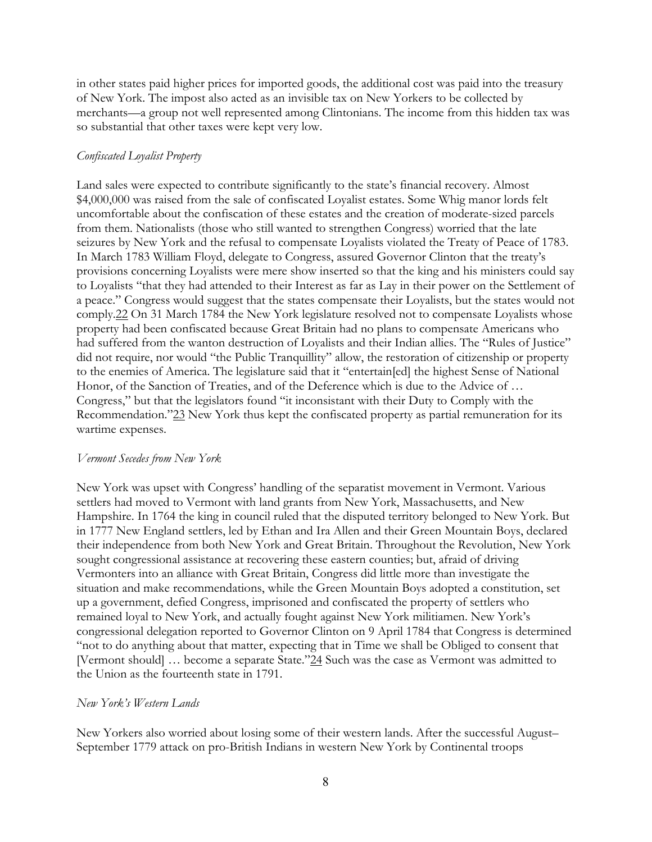in other states paid higher prices for imported goods, the additional cost was paid into the treasury of New York. The impost also acted as an invisible tax on New Yorkers to be collected by merchants—a group not well represented among Clintonians. The income from this hidden tax was so substantial that other taxes were kept very low.

# *Confiscated Loyalist Property*

Land sales were expected to contribute significantly to the state's financial recovery. Almost \$4,000,000 was raised from the sale of confiscated Loyalist estates. Some Whig manor lords felt uncomfortable about the confiscation of these estates and the creation of moderate-sized parcels from them. Nationalists (those who still wanted to strengthen Congress) worried that the late seizures by New York and the refusal to compensate Loyalists violated the Treaty of Peace of 1783. In March 1783 William Floyd, delegate to Congress, assured Governor Clinton that the treaty's provisions concerning Loyalists were mere show inserted so that the king and his ministers could say to Loyalists "that they had attended to their Interest as far as Lay in their power on the Settlement of a peace." Congress would suggest that the states compensate their Loyalists, but the states would not comply.22 On 31 March 1784 the New York legislature resolved not to compensate Loyalists whose property had been confiscated because Great Britain had no plans to compensate Americans who had suffered from the wanton destruction of Loyalists and their Indian allies. The "Rules of Justice" did not require, nor would "the Public Tranquillity" allow, the restoration of citizenship or property to the enemies of America. The legislature said that it "entertain[ed] the highest Sense of National Honor, of the Sanction of Treaties, and of the Deference which is due to the Advice of … Congress," but that the legislators found "it inconsistant with their Duty to Comply with the Recommendation."23 New York thus kept the confiscated property as partial remuneration for its wartime expenses.

# *Vermont Secedes from New York*

New York was upset with Congress' handling of the separatist movement in Vermont. Various settlers had moved to Vermont with land grants from New York, Massachusetts, and New Hampshire. In 1764 the king in council ruled that the disputed territory belonged to New York. But in 1777 New England settlers, led by Ethan and Ira Allen and their Green Mountain Boys, declared their independence from both New York and Great Britain. Throughout the Revolution, New York sought congressional assistance at recovering these eastern counties; but, afraid of driving Vermonters into an alliance with Great Britain, Congress did little more than investigate the situation and make recommendations, while the Green Mountain Boys adopted a constitution, set up a government, defied Congress, imprisoned and confiscated the property of settlers who remained loyal to New York, and actually fought against New York militiamen. New York's congressional delegation reported to Governor Clinton on 9 April 1784 that Congress is determined "not to do anything about that matter, expecting that in Time we shall be Obliged to consent that [Vermont should] ... become a separate State."24 Such was the case as Vermont was admitted to the Union as the fourteenth state in 1791.

# *New York's Western Lands*

New Yorkers also worried about losing some of their western lands. After the successful August– September 1779 attack on pro-British Indians in western New York by Continental troops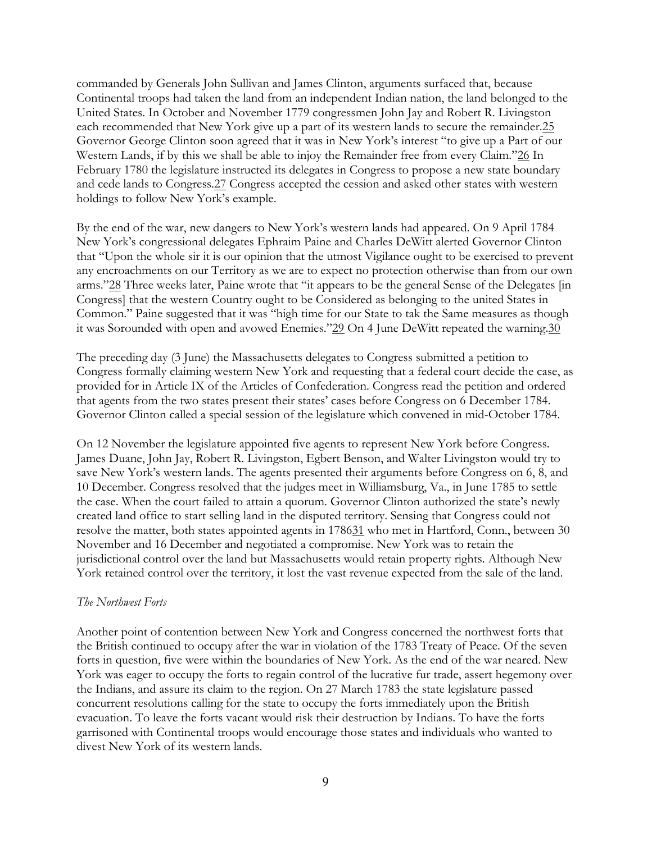commanded by Generals John Sullivan and James Clinton, arguments surfaced that, because Continental troops had taken the land from an independent Indian nation, the land belonged to the United States. In October and November 1779 congressmen John Jay and Robert R. Livingston each recommended that New York give up a part of its western lands to secure the remainder.25 Governor George Clinton soon agreed that it was in New York's interest "to give up a Part of our Western Lands, if by this we shall be able to injoy the Remainder free from every Claim."26 In February 1780 the legislature instructed its delegates in Congress to propose a new state boundary and cede lands to Congress.27 Congress accepted the cession and asked other states with western holdings to follow New York's example.

By the end of the war, new dangers to New York's western lands had appeared. On 9 April 1784 New York's congressional delegates Ephraim Paine and Charles DeWitt alerted Governor Clinton that "Upon the whole sir it is our opinion that the utmost Vigilance ought to be exercised to prevent any encroachments on our Territory as we are to expect no protection otherwise than from our own arms."28 Three weeks later, Paine wrote that "it appears to be the general Sense of the Delegates [in Congress] that the western Country ought to be Considered as belonging to the united States in Common." Paine suggested that it was "high time for our State to tak the Same measures as though it was Sorounded with open and avowed Enemies."29 On 4 June DeWitt repeated the warning.30

The preceding day (3 June) the Massachusetts delegates to Congress submitted a petition to Congress formally claiming western New York and requesting that a federal court decide the case, as provided for in Article IX of the Articles of Confederation. Congress read the petition and ordered that agents from the two states present their states' cases before Congress on 6 December 1784. Governor Clinton called a special session of the legislature which convened in mid-October 1784.

On 12 November the legislature appointed five agents to represent New York before Congress. James Duane, John Jay, Robert R. Livingston, Egbert Benson, and Walter Livingston would try to save New York's western lands. The agents presented their arguments before Congress on 6, 8, and 10 December. Congress resolved that the judges meet in Williamsburg, Va., in June 1785 to settle the case. When the court failed to attain a quorum. Governor Clinton authorized the state's newly created land office to start selling land in the disputed territory. Sensing that Congress could not resolve the matter, both states appointed agents in 178631 who met in Hartford, Conn., between 30 November and 16 December and negotiated a compromise. New York was to retain the jurisdictional control over the land but Massachusetts would retain property rights. Although New York retained control over the territory, it lost the vast revenue expected from the sale of the land.

#### *The Northwest Forts*

Another point of contention between New York and Congress concerned the northwest forts that the British continued to occupy after the war in violation of the 1783 Treaty of Peace. Of the seven forts in question, five were within the boundaries of New York. As the end of the war neared. New York was eager to occupy the forts to regain control of the lucrative fur trade, assert hegemony over the Indians, and assure its claim to the region. On 27 March 1783 the state legislature passed concurrent resolutions calling for the state to occupy the forts immediately upon the British evacuation. To leave the forts vacant would risk their destruction by Indians. To have the forts garrisoned with Continental troops would encourage those states and individuals who wanted to divest New York of its western lands.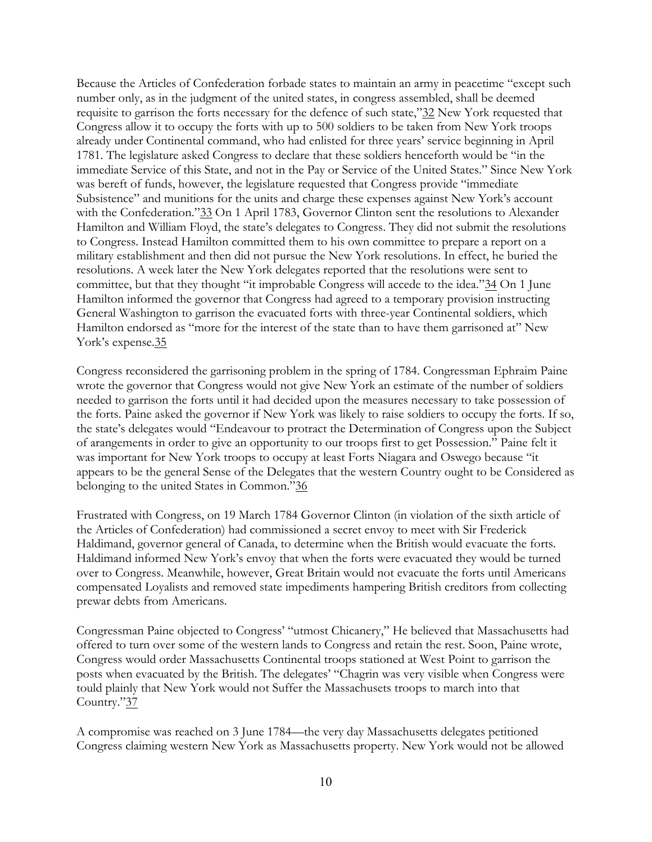Because the Articles of Confederation forbade states to maintain an army in peacetime "except such number only, as in the judgment of the united states, in congress assembled, shall be deemed requisite to garrison the forts necessary for the defence of such state,"32 New York requested that Congress allow it to occupy the forts with up to 500 soldiers to be taken from New York troops already under Continental command, who had enlisted for three years' service beginning in April 1781. The legislature asked Congress to declare that these soldiers henceforth would be "in the immediate Service of this State, and not in the Pay or Service of the United States." Since New York was bereft of funds, however, the legislature requested that Congress provide "immediate Subsistence" and munitions for the units and charge these expenses against New York's account with the Confederation."33 On 1 April 1783, Governor Clinton sent the resolutions to Alexander Hamilton and William Floyd, the state's delegates to Congress. They did not submit the resolutions to Congress. Instead Hamilton committed them to his own committee to prepare a report on a military establishment and then did not pursue the New York resolutions. In effect, he buried the resolutions. A week later the New York delegates reported that the resolutions were sent to committee, but that they thought "it improbable Congress will accede to the idea."34 On 1 June Hamilton informed the governor that Congress had agreed to a temporary provision instructing General Washington to garrison the evacuated forts with three-year Continental soldiers, which Hamilton endorsed as "more for the interest of the state than to have them garrisoned at" New York's expense.<sup>35</sup>

Congress reconsidered the garrisoning problem in the spring of 1784. Congressman Ephraim Paine wrote the governor that Congress would not give New York an estimate of the number of soldiers needed to garrison the forts until it had decided upon the measures necessary to take possession of the forts. Paine asked the governor if New York was likely to raise soldiers to occupy the forts. If so, the state's delegates would "Endeavour to protract the Determination of Congress upon the Subject of arangements in order to give an opportunity to our troops first to get Possession." Paine felt it was important for New York troops to occupy at least Forts Niagara and Oswego because "it appears to be the general Sense of the Delegates that the western Country ought to be Considered as belonging to the united States in Common."36

Frustrated with Congress, on 19 March 1784 Governor Clinton (in violation of the sixth article of the Articles of Confederation) had commissioned a secret envoy to meet with Sir Frederick Haldimand, governor general of Canada, to determine when the British would evacuate the forts. Haldimand informed New York's envoy that when the forts were evacuated they would be turned over to Congress. Meanwhile, however, Great Britain would not evacuate the forts until Americans compensated Loyalists and removed state impediments hampering British creditors from collecting prewar debts from Americans.

Congressman Paine objected to Congress' "utmost Chicanery," He believed that Massachusetts had offered to turn over some of the western lands to Congress and retain the rest. Soon, Paine wrote, Congress would order Massachusetts Continental troops stationed at West Point to garrison the posts when evacuated by the British. The delegates' "Chagrin was very visible when Congress were tould plainly that New York would not Suffer the Massachusets troops to march into that Country."37

A compromise was reached on 3 June 1784—the very day Massachusetts delegates petitioned Congress claiming western New York as Massachusetts property. New York would not be allowed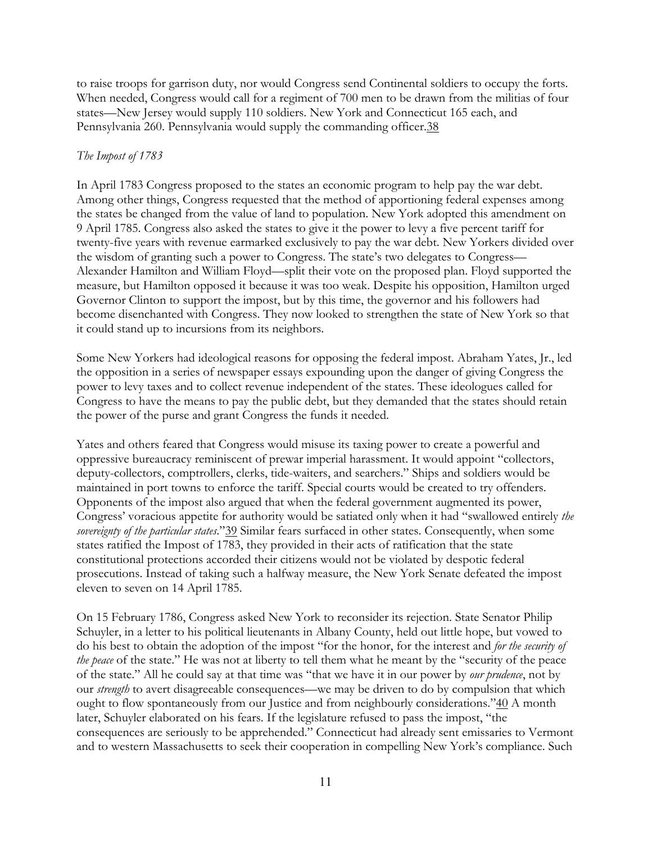to raise troops for garrison duty, nor would Congress send Continental soldiers to occupy the forts. When needed, Congress would call for a regiment of 700 men to be drawn from the militias of four states—New Jersey would supply 110 soldiers. New York and Connecticut 165 each, and Pennsylvania 260. Pennsylvania would supply the commanding officer.38

# *The Impost of 1783*

In April 1783 Congress proposed to the states an economic program to help pay the war debt. Among other things, Congress requested that the method of apportioning federal expenses among the states be changed from the value of land to population. New York adopted this amendment on 9 April 1785. Congress also asked the states to give it the power to levy a five percent tariff for twenty-five years with revenue earmarked exclusively to pay the war debt. New Yorkers divided over the wisdom of granting such a power to Congress. The state's two delegates to Congress— Alexander Hamilton and William Floyd—split their vote on the proposed plan. Floyd supported the measure, but Hamilton opposed it because it was too weak. Despite his opposition, Hamilton urged Governor Clinton to support the impost, but by this time, the governor and his followers had become disenchanted with Congress. They now looked to strengthen the state of New York so that it could stand up to incursions from its neighbors.

Some New Yorkers had ideological reasons for opposing the federal impost. Abraham Yates, Jr., led the opposition in a series of newspaper essays expounding upon the danger of giving Congress the power to levy taxes and to collect revenue independent of the states. These ideologues called for Congress to have the means to pay the public debt, but they demanded that the states should retain the power of the purse and grant Congress the funds it needed.

Yates and others feared that Congress would misuse its taxing power to create a powerful and oppressive bureaucracy reminiscent of prewar imperial harassment. It would appoint "collectors, deputy-collectors, comptrollers, clerks, tide-waiters, and searchers." Ships and soldiers would be maintained in port towns to enforce the tariff. Special courts would be created to try offenders. Opponents of the impost also argued that when the federal government augmented its power, Congress' voracious appetite for authority would be satiated only when it had "swallowed entirely *the sovereignty of the particular states*."39 Similar fears surfaced in other states. Consequently, when some states ratified the Impost of 1783, they provided in their acts of ratification that the state constitutional protections accorded their citizens would not be violated by despotic federal prosecutions. Instead of taking such a halfway measure, the New York Senate defeated the impost eleven to seven on 14 April 1785.

On 15 February 1786, Congress asked New York to reconsider its rejection. State Senator Philip Schuyler, in a letter to his political lieutenants in Albany County, held out little hope, but vowed to do his best to obtain the adoption of the impost "for the honor, for the interest and *for the security of the peace* of the state." He was not at liberty to tell them what he meant by the "security of the peace of the state." All he could say at that time was "that we have it in our power by *our prudence*, not by our *strength* to avert disagreeable consequences—we may be driven to do by compulsion that which ought to flow spontaneously from our Justice and from neighbourly considerations."40 A month later, Schuyler elaborated on his fears. If the legislature refused to pass the impost, "the consequences are seriously to be apprehended." Connecticut had already sent emissaries to Vermont and to western Massachusetts to seek their cooperation in compelling New York's compliance. Such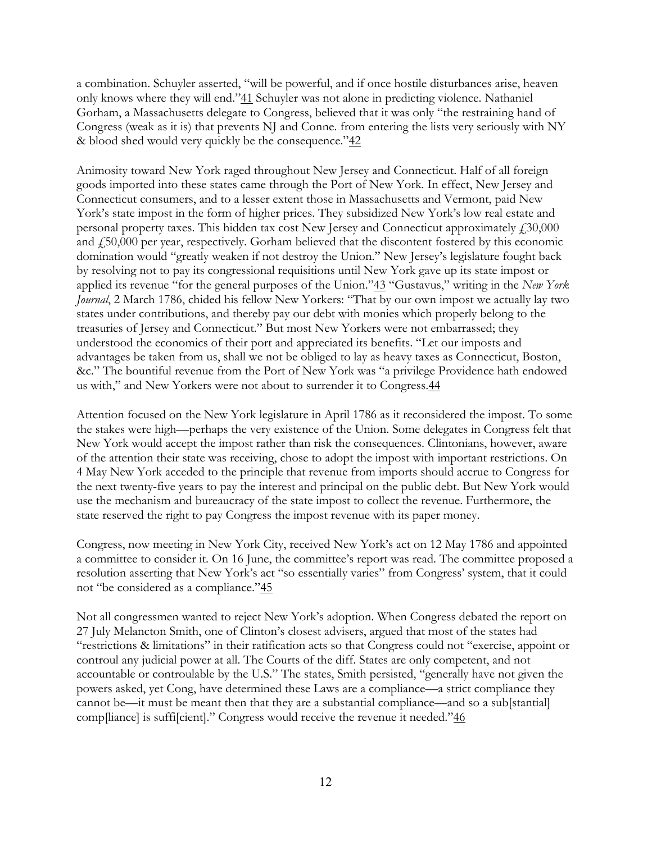a combination. Schuyler asserted, "will be powerful, and if once hostile disturbances arise, heaven only knows where they will end."41 Schuyler was not alone in predicting violence. Nathaniel Gorham, a Massachusetts delegate to Congress, believed that it was only "the restraining hand of Congress (weak as it is) that prevents NJ and Conne. from entering the lists very seriously with NY & blood shed would very quickly be the consequence." $42$ 

Animosity toward New York raged throughout New Jersey and Connecticut. Half of all foreign goods imported into these states came through the Port of New York. In effect, New Jersey and Connecticut consumers, and to a lesser extent those in Massachusetts and Vermont, paid New York's state impost in the form of higher prices. They subsidized New York's low real estate and personal property taxes. This hidden tax cost New Jersey and Connecticut approximately £30,000 and  $\dot{\gamma}$ 50,000 per year, respectively. Gorham believed that the discontent fostered by this economic domination would "greatly weaken if not destroy the Union." New Jersey's legislature fought back by resolving not to pay its congressional requisitions until New York gave up its state impost or applied its revenue "for the general purposes of the Union."43 "Gustavus," writing in the *New York Journal*, 2 March 1786, chided his fellow New Yorkers: "That by our own impost we actually lay two states under contributions, and thereby pay our debt with monies which properly belong to the treasuries of Jersey and Connecticut." But most New Yorkers were not embarrassed; they understood the economics of their port and appreciated its benefits. "Let our imposts and advantages be taken from us, shall we not be obliged to lay as heavy taxes as Connecticut, Boston, &c." The bountiful revenue from the Port of New York was "a privilege Providence hath endowed us with," and New Yorkers were not about to surrender it to Congress.44

Attention focused on the New York legislature in April 1786 as it reconsidered the impost. To some the stakes were high—perhaps the very existence of the Union. Some delegates in Congress felt that New York would accept the impost rather than risk the consequences. Clintonians, however, aware of the attention their state was receiving, chose to adopt the impost with important restrictions. On 4 May New York acceded to the principle that revenue from imports should accrue to Congress for the next twenty-five years to pay the interest and principal on the public debt. But New York would use the mechanism and bureaucracy of the state impost to collect the revenue. Furthermore, the state reserved the right to pay Congress the impost revenue with its paper money.

Congress, now meeting in New York City, received New York's act on 12 May 1786 and appointed a committee to consider it. On 16 June, the committee's report was read. The committee proposed a resolution asserting that New York's act "so essentially varies" from Congress' system, that it could not "be considered as a compliance."45

Not all congressmen wanted to reject New York's adoption. When Congress debated the report on 27 July Melancton Smith, one of Clinton's closest advisers, argued that most of the states had "restrictions & limitations" in their ratification acts so that Congress could not "exercise, appoint or controul any judicial power at all. The Courts of the diff. States are only competent, and not accountable or controulable by the U.S." The states, Smith persisted, "generally have not given the powers asked, yet Cong, have determined these Laws are a compliance—a strict compliance they cannot be—it must be meant then that they are a substantial compliance—and so a sub[stantial] comp[liance] is suffi[cient]." Congress would receive the revenue it needed."46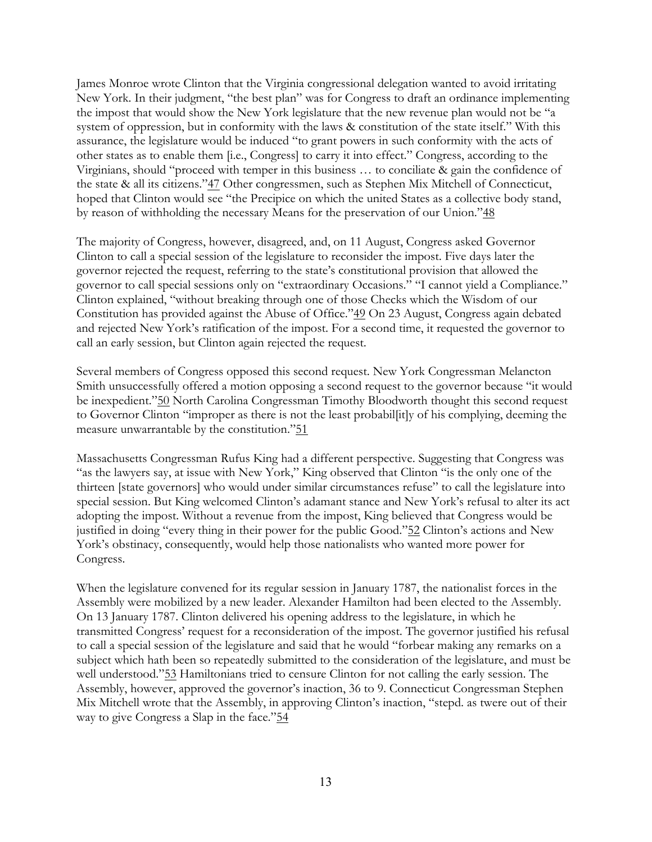James Monroe wrote Clinton that the Virginia congressional delegation wanted to avoid irritating New York. In their judgment, "the best plan" was for Congress to draft an ordinance implementing the impost that would show the New York legislature that the new revenue plan would not be "a system of oppression, but in conformity with the laws & constitution of the state itself." With this assurance, the legislature would be induced "to grant powers in such conformity with the acts of other states as to enable them [i.e., Congress] to carry it into effect." Congress, according to the Virginians, should "proceed with temper in this business … to conciliate & gain the confidence of the state & all its citizens."47 Other congressmen, such as Stephen Mix Mitchell of Connecticut, hoped that Clinton would see "the Precipice on which the united States as a collective body stand, by reason of withholding the necessary Means for the preservation of our Union."48

The majority of Congress, however, disagreed, and, on 11 August, Congress asked Governor Clinton to call a special session of the legislature to reconsider the impost. Five days later the governor rejected the request, referring to the state's constitutional provision that allowed the governor to call special sessions only on "extraordinary Occasions." "I cannot yield a Compliance." Clinton explained, "without breaking through one of those Checks which the Wisdom of our Constitution has provided against the Abuse of Office."49 On 23 August, Congress again debated and rejected New York's ratification of the impost. For a second time, it requested the governor to call an early session, but Clinton again rejected the request.

Several members of Congress opposed this second request. New York Congressman Melancton Smith unsuccessfully offered a motion opposing a second request to the governor because "it would be inexpedient."50 North Carolina Congressman Timothy Bloodworth thought this second request to Governor Clinton "improper as there is not the least probabil[it]y of his complying, deeming the measure unwarrantable by the constitution."51

Massachusetts Congressman Rufus King had a different perspective. Suggesting that Congress was "as the lawyers say, at issue with New York," King observed that Clinton "is the only one of the thirteen [state governors] who would under similar circumstances refuse" to call the legislature into special session. But King welcomed Clinton's adamant stance and New York's refusal to alter its act adopting the impost. Without a revenue from the impost, King believed that Congress would be justified in doing "every thing in their power for the public Good."52 Clinton's actions and New York's obstinacy, consequently, would help those nationalists who wanted more power for Congress.

When the legislature convened for its regular session in January 1787, the nationalist forces in the Assembly were mobilized by a new leader. Alexander Hamilton had been elected to the Assembly. On 13 January 1787. Clinton delivered his opening address to the legislature, in which he transmitted Congress' request for a reconsideration of the impost. The governor justified his refusal to call a special session of the legislature and said that he would "forbear making any remarks on a subject which hath been so repeatedly submitted to the consideration of the legislature, and must be well understood."53 Hamiltonians tried to censure Clinton for not calling the early session. The Assembly, however, approved the governor's inaction, 36 to 9. Connecticut Congressman Stephen Mix Mitchell wrote that the Assembly, in approving Clinton's inaction, "stepd. as twere out of their way to give Congress a Slap in the face."54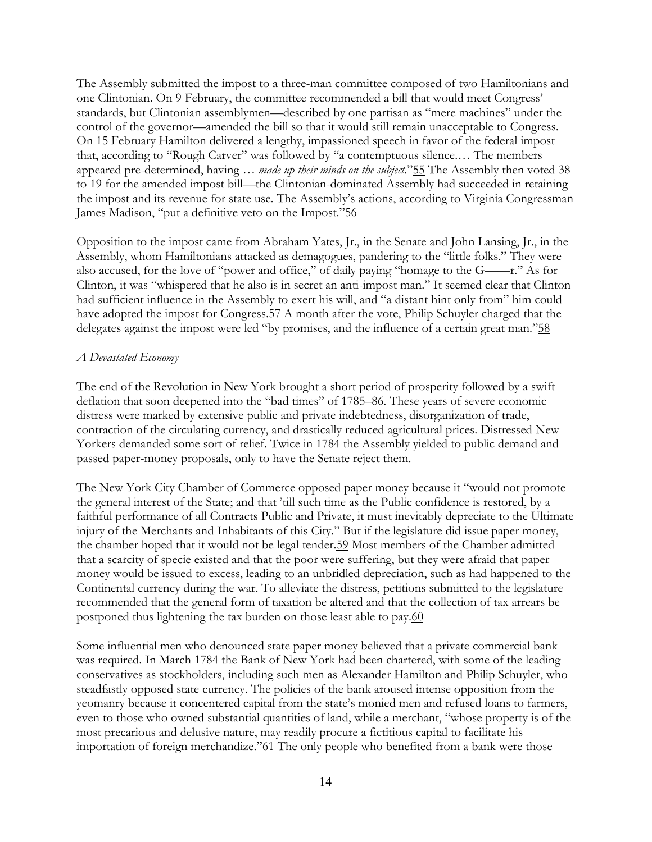The Assembly submitted the impost to a three-man committee composed of two Hamiltonians and one Clintonian. On 9 February, the committee recommended a bill that would meet Congress' standards, but Clintonian assemblymen—described by one partisan as "mere machines" under the control of the governor—amended the bill so that it would still remain unacceptable to Congress. On 15 February Hamilton delivered a lengthy, impassioned speech in favor of the federal impost that, according to "Rough Carver" was followed by "a contemptuous silence.… The members appeared pre-determined, having … *made up their minds on the subject*."55 The Assembly then voted 38 to 19 for the amended impost bill—the Clintonian-dominated Assembly had succeeded in retaining the impost and its revenue for state use. The Assembly's actions, according to Virginia Congressman James Madison, "put a definitive veto on the Impost."56

Opposition to the impost came from Abraham Yates, Jr., in the Senate and John Lansing, Jr., in the Assembly, whom Hamiltonians attacked as demagogues, pandering to the "little folks." They were also accused, for the love of "power and office," of daily paying "homage to the G——r." As for Clinton, it was "whispered that he also is in secret an anti-impost man." It seemed clear that Clinton had sufficient influence in the Assembly to exert his will, and "a distant hint only from" him could have adopted the impost for Congress.57 A month after the vote, Philip Schuyler charged that the delegates against the impost were led "by promises, and the influence of a certain great man."58

# *A Devastated Economy*

The end of the Revolution in New York brought a short period of prosperity followed by a swift deflation that soon deepened into the "bad times" of 1785–86. These years of severe economic distress were marked by extensive public and private indebtedness, disorganization of trade, contraction of the circulating currency, and drastically reduced agricultural prices. Distressed New Yorkers demanded some sort of relief. Twice in 1784 the Assembly yielded to public demand and passed paper-money proposals, only to have the Senate reject them.

The New York City Chamber of Commerce opposed paper money because it "would not promote the general interest of the State; and that 'till such time as the Public confidence is restored, by a faithful performance of all Contracts Public and Private, it must inevitably depreciate to the Ultimate injury of the Merchants and Inhabitants of this City." But if the legislature did issue paper money, the chamber hoped that it would not be legal tender.59 Most members of the Chamber admitted that a scarcity of specie existed and that the poor were suffering, but they were afraid that paper money would be issued to excess, leading to an unbridled depreciation, such as had happened to the Continental currency during the war. To alleviate the distress, petitions submitted to the legislature recommended that the general form of taxation be altered and that the collection of tax arrears be postponed thus lightening the tax burden on those least able to pay.60

Some influential men who denounced state paper money believed that a private commercial bank was required. In March 1784 the Bank of New York had been chartered, with some of the leading conservatives as stockholders, including such men as Alexander Hamilton and Philip Schuyler, who steadfastly opposed state currency. The policies of the bank aroused intense opposition from the yeomanry because it concentered capital from the state's monied men and refused loans to farmers, even to those who owned substantial quantities of land, while a merchant, "whose property is of the most precarious and delusive nature, may readily procure a fictitious capital to facilitate his importation of foreign merchandize."61 The only people who benefited from a bank were those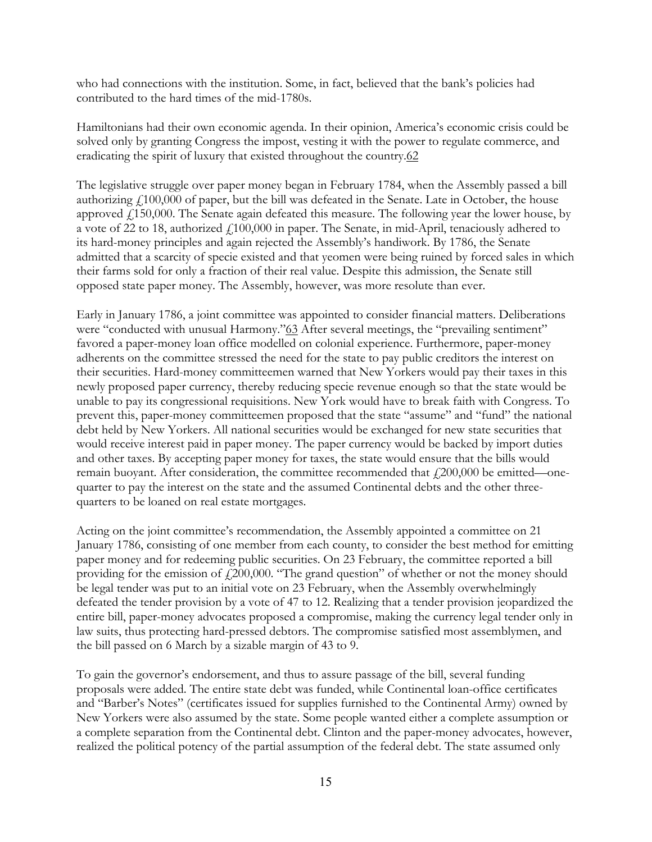who had connections with the institution. Some, in fact, believed that the bank's policies had contributed to the hard times of the mid-1780s.

Hamiltonians had their own economic agenda. In their opinion, America's economic crisis could be solved only by granting Congress the impost, vesting it with the power to regulate commerce, and eradicating the spirit of luxury that existed throughout the country.62

The legislative struggle over paper money began in February 1784, when the Assembly passed a bill authorizing  $\ell_{100,000}$  of paper, but the bill was defeated in the Senate. Late in October, the house approved  $f(150,000)$ . The Senate again defeated this measure. The following year the lower house, by a vote of 22 to 18, authorized  $f(100,000)$  in paper. The Senate, in mid-April, tenaciously adhered to its hard-money principles and again rejected the Assembly's handiwork. By 1786, the Senate admitted that a scarcity of specie existed and that yeomen were being ruined by forced sales in which their farms sold for only a fraction of their real value. Despite this admission, the Senate still opposed state paper money. The Assembly, however, was more resolute than ever.

Early in January 1786, a joint committee was appointed to consider financial matters. Deliberations were "conducted with unusual Harmony."<sup>63</sup> After several meetings, the "prevailing sentiment" favored a paper-money loan office modelled on colonial experience. Furthermore, paper-money adherents on the committee stressed the need for the state to pay public creditors the interest on their securities. Hard-money committeemen warned that New Yorkers would pay their taxes in this newly proposed paper currency, thereby reducing specie revenue enough so that the state would be unable to pay its congressional requisitions. New York would have to break faith with Congress. To prevent this, paper-money committeemen proposed that the state "assume" and "fund" the national debt held by New Yorkers. All national securities would be exchanged for new state securities that would receive interest paid in paper money. The paper currency would be backed by import duties and other taxes. By accepting paper money for taxes, the state would ensure that the bills would remain buoyant. After consideration, the committee recommended that  $f(200,000)$  be emitted—onequarter to pay the interest on the state and the assumed Continental debts and the other threequarters to be loaned on real estate mortgages.

Acting on the joint committee's recommendation, the Assembly appointed a committee on 21 January 1786, consisting of one member from each county, to consider the best method for emitting paper money and for redeeming public securities. On 23 February, the committee reported a bill providing for the emission of  $f200,000$ . "The grand question" of whether or not the money should be legal tender was put to an initial vote on 23 February, when the Assembly overwhelmingly defeated the tender provision by a vote of 47 to 12. Realizing that a tender provision jeopardized the entire bill, paper-money advocates proposed a compromise, making the currency legal tender only in law suits, thus protecting hard-pressed debtors. The compromise satisfied most assemblymen, and the bill passed on 6 March by a sizable margin of 43 to 9.

To gain the governor's endorsement, and thus to assure passage of the bill, several funding proposals were added. The entire state debt was funded, while Continental loan-office certificates and "Barber's Notes" (certificates issued for supplies furnished to the Continental Army) owned by New Yorkers were also assumed by the state. Some people wanted either a complete assumption or a complete separation from the Continental debt. Clinton and the paper-money advocates, however, realized the political potency of the partial assumption of the federal debt. The state assumed only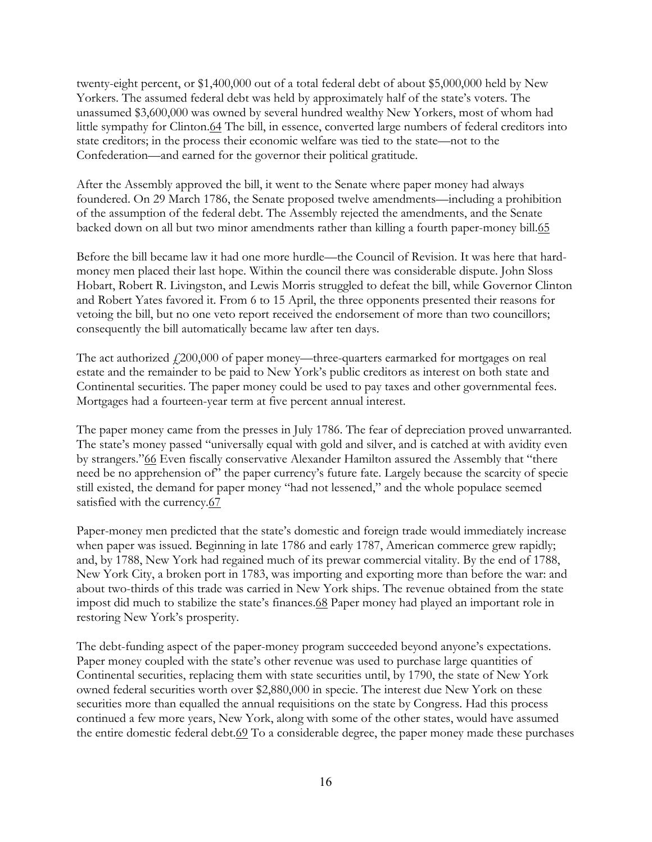twenty-eight percent, or \$1,400,000 out of a total federal debt of about \$5,000,000 held by New Yorkers. The assumed federal debt was held by approximately half of the state's voters. The unassumed \$3,600,000 was owned by several hundred wealthy New Yorkers, most of whom had little sympathy for Clinton.64 The bill, in essence, converted large numbers of federal creditors into state creditors; in the process their economic welfare was tied to the state—not to the Confederation—and earned for the governor their political gratitude.

After the Assembly approved the bill, it went to the Senate where paper money had always foundered. On 29 March 1786, the Senate proposed twelve amendments—including a prohibition of the assumption of the federal debt. The Assembly rejected the amendments, and the Senate backed down on all but two minor amendments rather than killing a fourth paper-money bill.65

Before the bill became law it had one more hurdle—the Council of Revision. It was here that hardmoney men placed their last hope. Within the council there was considerable dispute. John Sloss Hobart, Robert R. Livingston, and Lewis Morris struggled to defeat the bill, while Governor Clinton and Robert Yates favored it. From 6 to 15 April, the three opponents presented their reasons for vetoing the bill, but no one veto report received the endorsement of more than two councillors; consequently the bill automatically became law after ten days.

The act authorized  $\text{\textsterling}200,000$  of paper money—three-quarters earmarked for mortgages on real estate and the remainder to be paid to New York's public creditors as interest on both state and Continental securities. The paper money could be used to pay taxes and other governmental fees. Mortgages had a fourteen-year term at five percent annual interest.

The paper money came from the presses in July 1786. The fear of depreciation proved unwarranted. The state's money passed "universally equal with gold and silver, and is catched at with avidity even by strangers."66 Even fiscally conservative Alexander Hamilton assured the Assembly that "there need be no apprehension of" the paper currency's future fate. Largely because the scarcity of specie still existed, the demand for paper money "had not lessened," and the whole populace seemed satisfied with the currency.67

Paper-money men predicted that the state's domestic and foreign trade would immediately increase when paper was issued. Beginning in late 1786 and early 1787, American commerce grew rapidly; and, by 1788, New York had regained much of its prewar commercial vitality. By the end of 1788, New York City, a broken port in 1783, was importing and exporting more than before the war: and about two-thirds of this trade was carried in New York ships. The revenue obtained from the state impost did much to stabilize the state's finances.68 Paper money had played an important role in restoring New York's prosperity.

The debt-funding aspect of the paper-money program succeeded beyond anyone's expectations. Paper money coupled with the state's other revenue was used to purchase large quantities of Continental securities, replacing them with state securities until, by 1790, the state of New York owned federal securities worth over \$2,880,000 in specie. The interest due New York on these securities more than equalled the annual requisitions on the state by Congress. Had this process continued a few more years, New York, along with some of the other states, would have assumed the entire domestic federal debt.69 To a considerable degree, the paper money made these purchases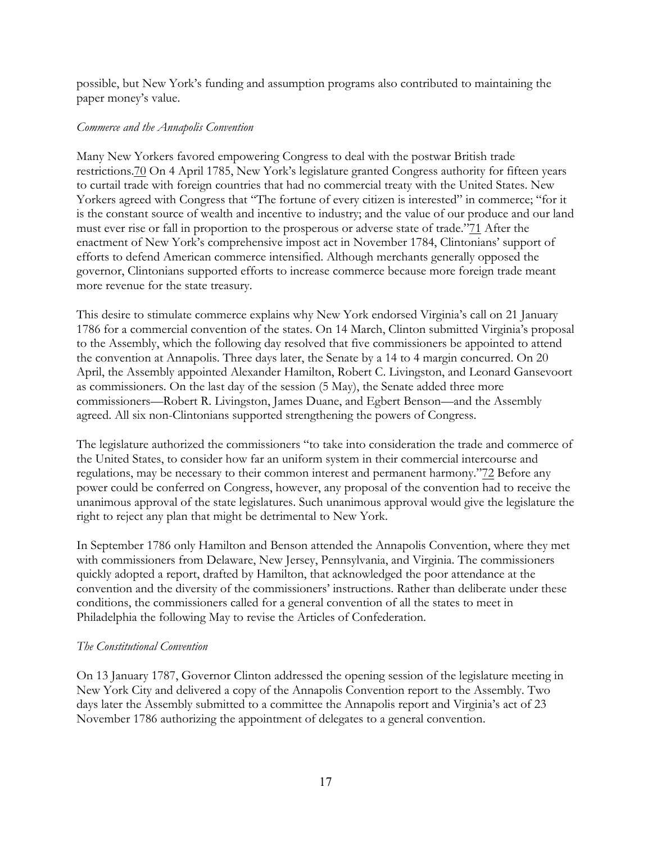possible, but New York's funding and assumption programs also contributed to maintaining the paper money's value.

# *Commerce and the Annapolis Convention*

Many New Yorkers favored empowering Congress to deal with the postwar British trade restrictions.70 On 4 April 1785, New York's legislature granted Congress authority for fifteen years to curtail trade with foreign countries that had no commercial treaty with the United States. New Yorkers agreed with Congress that "The fortune of every citizen is interested" in commerce; "for it is the constant source of wealth and incentive to industry; and the value of our produce and our land must ever rise or fall in proportion to the prosperous or adverse state of trade."71 After the enactment of New York's comprehensive impost act in November 1784, Clintonians' support of efforts to defend American commerce intensified. Although merchants generally opposed the governor, Clintonians supported efforts to increase commerce because more foreign trade meant more revenue for the state treasury.

This desire to stimulate commerce explains why New York endorsed Virginia's call on 21 January 1786 for a commercial convention of the states. On 14 March, Clinton submitted Virginia's proposal to the Assembly, which the following day resolved that five commissioners be appointed to attend the convention at Annapolis. Three days later, the Senate by a 14 to 4 margin concurred. On 20 April, the Assembly appointed Alexander Hamilton, Robert C. Livingston, and Leonard Gansevoort as commissioners. On the last day of the session (5 May), the Senate added three more commissioners—Robert R. Livingston, James Duane, and Egbert Benson—and the Assembly agreed. All six non-Clintonians supported strengthening the powers of Congress.

The legislature authorized the commissioners "to take into consideration the trade and commerce of the United States, to consider how far an uniform system in their commercial intercourse and regulations, may be necessary to their common interest and permanent harmony."72 Before any power could be conferred on Congress, however, any proposal of the convention had to receive the unanimous approval of the state legislatures. Such unanimous approval would give the legislature the right to reject any plan that might be detrimental to New York.

In September 1786 only Hamilton and Benson attended the Annapolis Convention, where they met with commissioners from Delaware, New Jersey, Pennsylvania, and Virginia. The commissioners quickly adopted a report, drafted by Hamilton, that acknowledged the poor attendance at the convention and the diversity of the commissioners' instructions. Rather than deliberate under these conditions, the commissioners called for a general convention of all the states to meet in Philadelphia the following May to revise the Articles of Confederation.

# *The Constitutional Convention*

On 13 January 1787, Governor Clinton addressed the opening session of the legislature meeting in New York City and delivered a copy of the Annapolis Convention report to the Assembly. Two days later the Assembly submitted to a committee the Annapolis report and Virginia's act of 23 November 1786 authorizing the appointment of delegates to a general convention.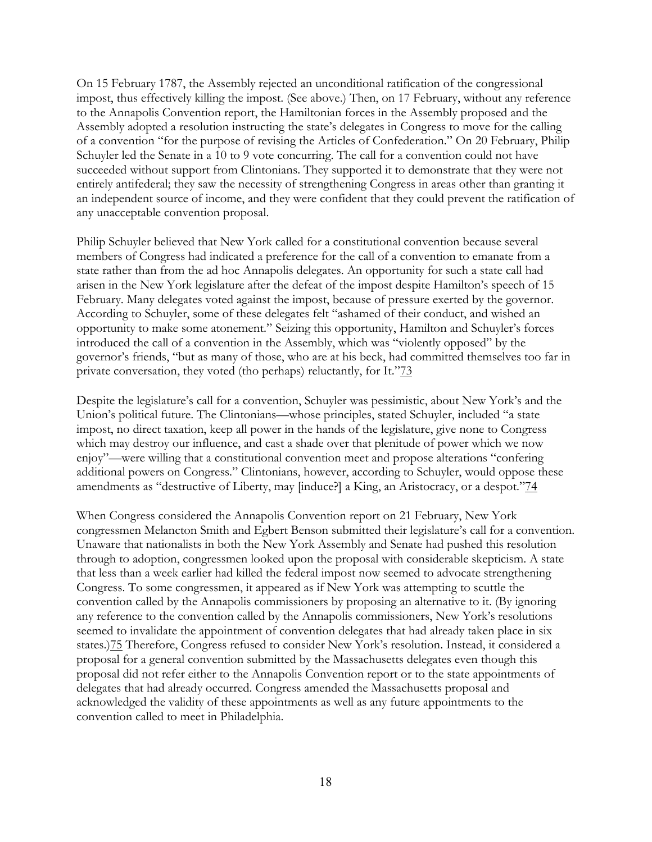On 15 February 1787, the Assembly rejected an unconditional ratification of the congressional impost, thus effectively killing the impost. (See above.) Then, on 17 February, without any reference to the Annapolis Convention report, the Hamiltonian forces in the Assembly proposed and the Assembly adopted a resolution instructing the state's delegates in Congress to move for the calling of a convention "for the purpose of revising the Articles of Confederation." On 20 February, Philip Schuyler led the Senate in a 10 to 9 vote concurring. The call for a convention could not have succeeded without support from Clintonians. They supported it to demonstrate that they were not entirely antifederal; they saw the necessity of strengthening Congress in areas other than granting it an independent source of income, and they were confident that they could prevent the ratification of any unacceptable convention proposal.

Philip Schuyler believed that New York called for a constitutional convention because several members of Congress had indicated a preference for the call of a convention to emanate from a state rather than from the ad hoc Annapolis delegates. An opportunity for such a state call had arisen in the New York legislature after the defeat of the impost despite Hamilton's speech of 15 February. Many delegates voted against the impost, because of pressure exerted by the governor. According to Schuyler, some of these delegates felt "ashamed of their conduct, and wished an opportunity to make some atonement." Seizing this opportunity, Hamilton and Schuyler's forces introduced the call of a convention in the Assembly, which was "violently opposed" by the governor's friends, "but as many of those, who are at his beck, had committed themselves too far in private conversation, they voted (tho perhaps) reluctantly, for It."73

Despite the legislature's call for a convention, Schuyler was pessimistic, about New York's and the Union's political future. The Clintonians—whose principles, stated Schuyler, included "a state impost, no direct taxation, keep all power in the hands of the legislature, give none to Congress which may destroy our influence, and cast a shade over that plenitude of power which we now enjoy"—were willing that a constitutional convention meet and propose alterations "confering additional powers on Congress." Clintonians, however, according to Schuyler, would oppose these amendments as "destructive of Liberty, may [induce?] a King, an Aristocracy, or a despot."74

When Congress considered the Annapolis Convention report on 21 February, New York congressmen Melancton Smith and Egbert Benson submitted their legislature's call for a convention. Unaware that nationalists in both the New York Assembly and Senate had pushed this resolution through to adoption, congressmen looked upon the proposal with considerable skepticism. A state that less than a week earlier had killed the federal impost now seemed to advocate strengthening Congress. To some congressmen, it appeared as if New York was attempting to scuttle the convention called by the Annapolis commissioners by proposing an alternative to it. (By ignoring any reference to the convention called by the Annapolis commissioners, New York's resolutions seemed to invalidate the appointment of convention delegates that had already taken place in six states.)75 Therefore, Congress refused to consider New York's resolution. Instead, it considered a proposal for a general convention submitted by the Massachusetts delegates even though this proposal did not refer either to the Annapolis Convention report or to the state appointments of delegates that had already occurred. Congress amended the Massachusetts proposal and acknowledged the validity of these appointments as well as any future appointments to the convention called to meet in Philadelphia.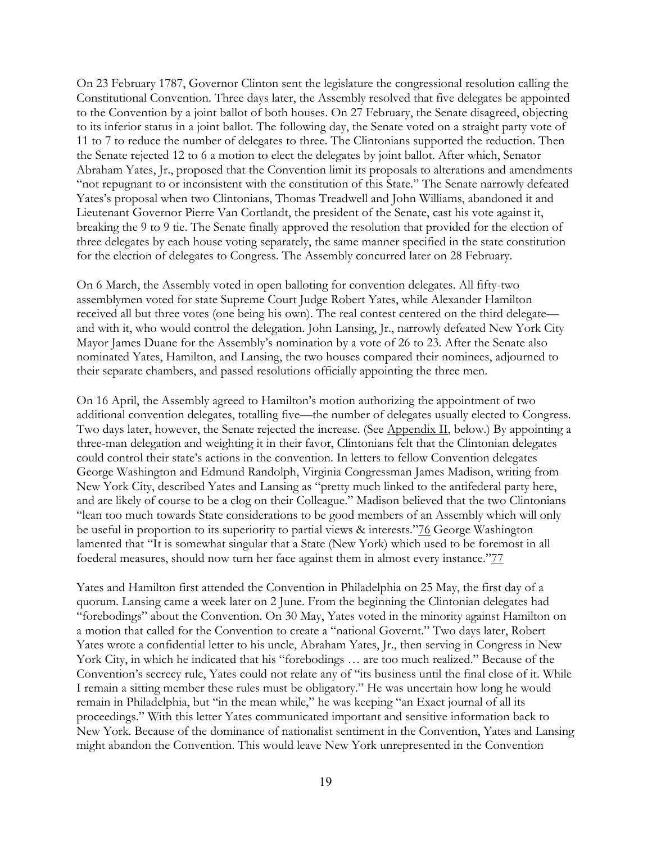On 23 February 1787, Governor Clinton sent the legislature the congressional resolution calling the Constitutional Convention. Three days later, the Assembly resolved that five delegates be appointed to the Convention by a joint ballot of both houses. On 27 February, the Senate disagreed, objecting to its inferior status in a joint ballot. The following day, the Senate voted on a straight party vote of 11 to 7 to reduce the number of delegates to three. The Clintonians supported the reduction. Then the Senate rejected 12 to 6 a motion to elect the delegates by joint ballot. After which, Senator Abraham Yates, Jr., proposed that the Convention limit its proposals to alterations and amendments "not repugnant to or inconsistent with the constitution of this State." The Senate narrowly defeated Yates's proposal when two Clintonians, Thomas Treadwell and John Williams, abandoned it and Lieutenant Governor Pierre Van Cortlandt, the president of the Senate, cast his vote against it, breaking the 9 to 9 tie. The Senate finally approved the resolution that provided for the election of three delegates by each house voting separately, the same manner specified in the state constitution for the election of delegates to Congress. The Assembly concurred later on 28 February.

On 6 March, the Assembly voted in open balloting for convention delegates. All fifty-two assemblymen voted for state Supreme Court Judge Robert Yates, while Alexander Hamilton received all but three votes (one being his own). The real contest centered on the third delegate and with it, who would control the delegation. John Lansing, Jr., narrowly defeated New York City Mayor James Duane for the Assembly's nomination by a vote of 26 to 23. After the Senate also nominated Yates, Hamilton, and Lansing, the two houses compared their nominees, adjourned to their separate chambers, and passed resolutions officially appointing the three men.

On 16 April, the Assembly agreed to Hamilton's motion authorizing the appointment of two additional convention delegates, totalling five—the number of delegates usually elected to Congress. Two days later, however, the Senate rejected the increase. (See Appendix II, below.) By appointing a three-man delegation and weighting it in their favor, Clintonians felt that the Clintonian delegates could control their state's actions in the convention. In letters to fellow Convention delegates George Washington and Edmund Randolph, Virginia Congressman James Madison, writing from New York City, described Yates and Lansing as "pretty much linked to the antifederal party here, and are likely of course to be a clog on their Colleague." Madison believed that the two Clintonians "lean too much towards State considerations to be good members of an Assembly which will only be useful in proportion to its superiority to partial views & interests."76 George Washington lamented that "It is somewhat singular that a State (New York) which used to be foremost in all foederal measures, should now turn her face against them in almost every instance."77

Yates and Hamilton first attended the Convention in Philadelphia on 25 May, the first day of a quorum. Lansing came a week later on 2 June. From the beginning the Clintonian delegates had "forebodings" about the Convention. On 30 May, Yates voted in the minority against Hamilton on a motion that called for the Convention to create a "national Governt." Two days later, Robert Yates wrote a confidential letter to his uncle, Abraham Yates, Jr., then serving in Congress in New York City, in which he indicated that his "forebodings … are too much realized." Because of the Convention's secrecy rule, Yates could not relate any of "its business until the final close of it. While I remain a sitting member these rules must be obligatory." He was uncertain how long he would remain in Philadelphia, but "in the mean while," he was keeping "an Exact journal of all its proceedings." With this letter Yates communicated important and sensitive information back to New York. Because of the dominance of nationalist sentiment in the Convention, Yates and Lansing might abandon the Convention. This would leave New York unrepresented in the Convention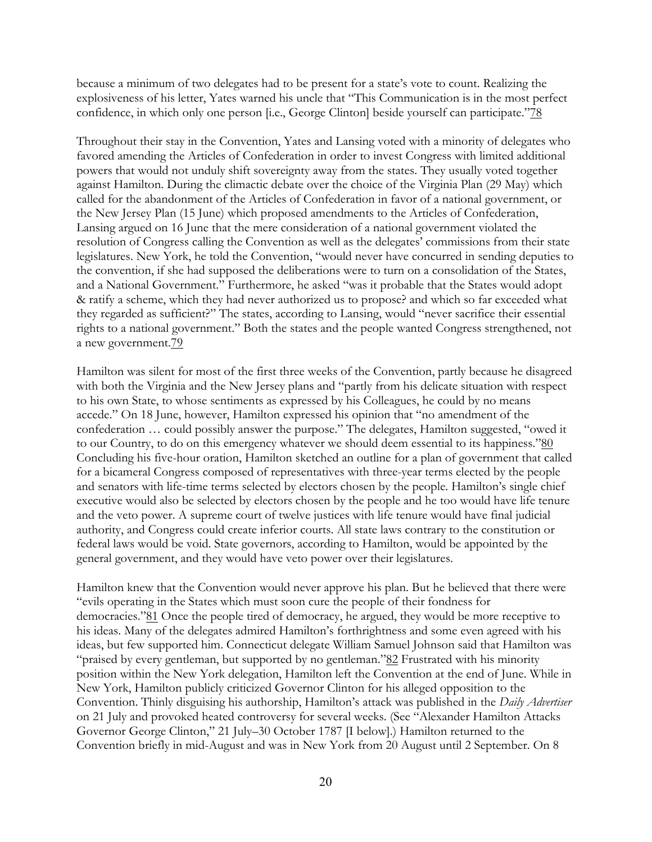because a minimum of two delegates had to be present for a state's vote to count. Realizing the explosiveness of his letter, Yates warned his uncle that "This Communication is in the most perfect confidence, in which only one person [i.e., George Clinton] beside yourself can participate."78

Throughout their stay in the Convention, Yates and Lansing voted with a minority of delegates who favored amending the Articles of Confederation in order to invest Congress with limited additional powers that would not unduly shift sovereignty away from the states. They usually voted together against Hamilton. During the climactic debate over the choice of the Virginia Plan (29 May) which called for the abandonment of the Articles of Confederation in favor of a national government, or the New Jersey Plan (15 June) which proposed amendments to the Articles of Confederation, Lansing argued on 16 June that the mere consideration of a national government violated the resolution of Congress calling the Convention as well as the delegates' commissions from their state legislatures. New York, he told the Convention, "would never have concurred in sending deputies to the convention, if she had supposed the deliberations were to turn on a consolidation of the States, and a National Government." Furthermore, he asked "was it probable that the States would adopt & ratify a scheme, which they had never authorized us to propose? and which so far exceeded what they regarded as sufficient?" The states, according to Lansing, would "never sacrifice their essential rights to a national government." Both the states and the people wanted Congress strengthened, not a new government.79

Hamilton was silent for most of the first three weeks of the Convention, partly because he disagreed with both the Virginia and the New Jersey plans and "partly from his delicate situation with respect to his own State, to whose sentiments as expressed by his Colleagues, he could by no means accede." On 18 June, however, Hamilton expressed his opinion that "no amendment of the confederation … could possibly answer the purpose." The delegates, Hamilton suggested, "owed it to our Country, to do on this emergency whatever we should deem essential to its happiness."80 Concluding his five-hour oration, Hamilton sketched an outline for a plan of government that called for a bicameral Congress composed of representatives with three-year terms elected by the people and senators with life-time terms selected by electors chosen by the people. Hamilton's single chief executive would also be selected by electors chosen by the people and he too would have life tenure and the veto power. A supreme court of twelve justices with life tenure would have final judicial authority, and Congress could create inferior courts. All state laws contrary to the constitution or federal laws would be void. State governors, according to Hamilton, would be appointed by the general government, and they would have veto power over their legislatures.

Hamilton knew that the Convention would never approve his plan. But he believed that there were "evils operating in the States which must soon cure the people of their fondness for democracies."81 Once the people tired of democracy, he argued, they would be more receptive to his ideas. Many of the delegates admired Hamilton's forthrightness and some even agreed with his ideas, but few supported him. Connecticut delegate William Samuel Johnson said that Hamilton was "praised by every gentleman, but supported by no gentleman."82 Frustrated with his minority position within the New York delegation, Hamilton left the Convention at the end of June. While in New York, Hamilton publicly criticized Governor Clinton for his alleged opposition to the Convention. Thinly disguising his authorship, Hamilton's attack was published in the *Daily Advertiser* on 21 July and provoked heated controversy for several weeks. (See "Alexander Hamilton Attacks Governor George Clinton," 21 July–30 October 1787 [I below].) Hamilton returned to the Convention briefly in mid-August and was in New York from 20 August until 2 September. On 8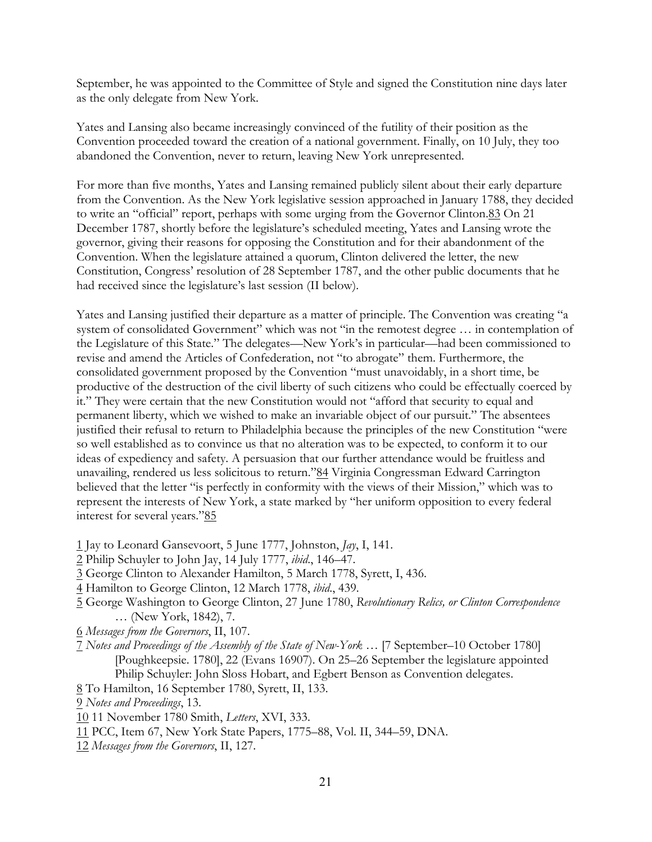September, he was appointed to the Committee of Style and signed the Constitution nine days later as the only delegate from New York.

Yates and Lansing also became increasingly convinced of the futility of their position as the Convention proceeded toward the creation of a national government. Finally, on 10 July, they too abandoned the Convention, never to return, leaving New York unrepresented.

For more than five months, Yates and Lansing remained publicly silent about their early departure from the Convention. As the New York legislative session approached in January 1788, they decided to write an "official" report, perhaps with some urging from the Governor Clinton.83 On 21 December 1787, shortly before the legislature's scheduled meeting, Yates and Lansing wrote the governor, giving their reasons for opposing the Constitution and for their abandonment of the Convention. When the legislature attained a quorum, Clinton delivered the letter, the new Constitution, Congress' resolution of 28 September 1787, and the other public documents that he had received since the legislature's last session (II below).

Yates and Lansing justified their departure as a matter of principle. The Convention was creating "a system of consolidated Government" which was not "in the remotest degree ... in contemplation of the Legislature of this State." The delegates—New York's in particular—had been commissioned to revise and amend the Articles of Confederation, not "to abrogate" them. Furthermore, the consolidated government proposed by the Convention "must unavoidably, in a short time, be productive of the destruction of the civil liberty of such citizens who could be effectually coerced by it." They were certain that the new Constitution would not "afford that security to equal and permanent liberty, which we wished to make an invariable object of our pursuit." The absentees justified their refusal to return to Philadelphia because the principles of the new Constitution "were so well established as to convince us that no alteration was to be expected, to conform it to our ideas of expediency and safety. A persuasion that our further attendance would be fruitless and unavailing, rendered us less solicitous to return."84 Virginia Congressman Edward Carrington believed that the letter "is perfectly in conformity with the views of their Mission," which was to represent the interests of New York, a state marked by "her uniform opposition to every federal interest for several years."85

- 1 Jay to Leonard Gansevoort, 5 June 1777, Johnston, *Jay*, I, 141.
- 2 Philip Schuyler to John Jay, 14 July 1777, *ibid*., 146–47.
- 3 George Clinton to Alexander Hamilton, 5 March 1778, Syrett, I, 436.
- 4 Hamilton to George Clinton, 12 March 1778, *ibid*., 439.
- 5 George Washington to George Clinton, 27 June 1780, *Revolutionary Relics, or Clinton Correspondence* … (New York, 1842), 7.
- 6 *Messages from the Governors*, II, 107.
- 7 *Notes and Proceedings of the Assembly of the State of New-York* … [7 September–10 October 1780] [Poughkeepsie. 1780], 22 (Evans 16907). On 25–26 September the legislature appointed Philip Schuyler: John Sloss Hobart, and Egbert Benson as Convention delegates.
- 8 To Hamilton, 16 September 1780, Syrett, II, 133.
- 9 *Notes and Proceedings*, 13.
- 10 11 November 1780 Smith, *Letters*, XVI, 333.
- 11 PCC, Item 67, New York State Papers, 1775–88, Vol. II, 344–59, DNA.
- 12 *Messages from the Governors*, II, 127.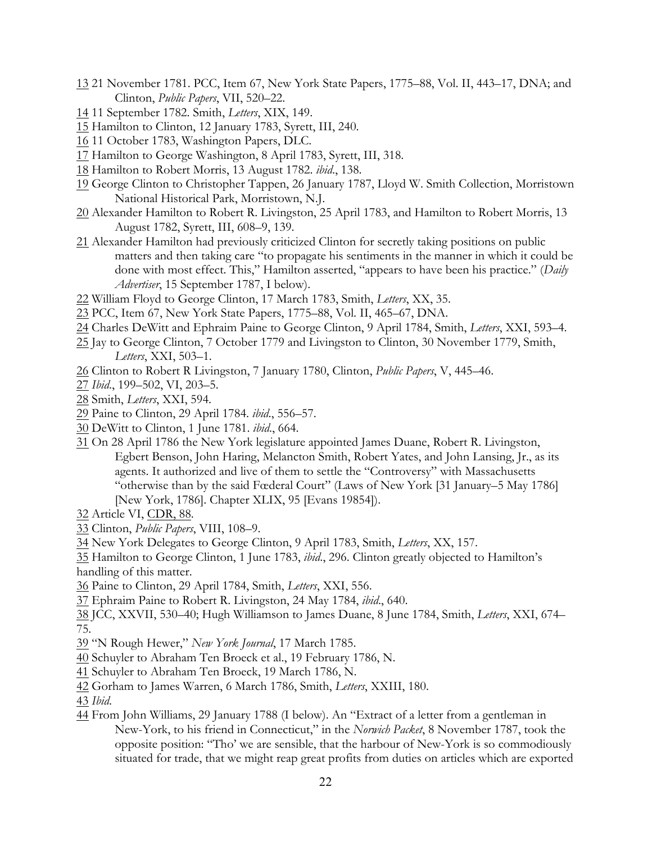- 21 November 1781. PCC, Item 67, New York State Papers, 1775–88, Vol. II, 443–17, DNA; and Clinton, *Public Papers*, VII, 520–22.
- 11 September 1782. Smith, *Letters*, XIX, 149.
- Hamilton to Clinton, 12 January 1783, Syrett, III, 240.
- 11 October 1783, Washington Papers, DLC.
- Hamilton to George Washington, 8 April 1783, Syrett, III, 318.
- Hamilton to Robert Morris, 13 August 1782. *ibid*., 138.
- George Clinton to Christopher Tappen, 26 January 1787, Lloyd W. Smith Collection, Morristown National Historical Park, Morristown, N.J.
- Alexander Hamilton to Robert R. Livingston, 25 April 1783, and Hamilton to Robert Morris, 13 August 1782, Syrett, III, 608–9, 139.
- 21 Alexander Hamilton had previously criticized Clinton for secretly taking positions on public matters and then taking care "to propagate his sentiments in the manner in which it could be done with most effect. This," Hamilton asserted, "appears to have been his practice." (*Daily Advertiser*, 15 September 1787, I below).
- William Floyd to George Clinton, 17 March 1783, Smith, *Letters*, XX, 35.
- PCC, Item 67, New York State Papers, 1775–88, Vol. II, 465–67, DNA.
- Charles DeWitt and Ephraim Paine to George Clinton, 9 April 1784, Smith, *Letters*, XXI, 593–4.
- Jay to George Clinton, 7 October 1779 and Livingston to Clinton, 30 November 1779, Smith, *Letters*, XXI, 503–1.
- Clinton to Robert R Livingston, 7 January 1780, Clinton, *Public Papers*, V, 445–46.
- *Ibid*., 199–502, VI, 203–5.
- Smith, *Letters*, XXI, 594.
- Paine to Clinton, 29 April 1784. *ibid*., 556–57.
- DeWitt to Clinton, 1 June 1781. *ibid*., 664.
- On 28 April 1786 the New York legislature appointed James Duane, Robert R. Livingston, Egbert Benson, John Haring, Melancton Smith, Robert Yates, and John Lansing, Jr., as its agents. It authorized and live of them to settle the "Controversy" with Massachusetts "otherwise than by the said Fœderal Court" (Laws of New York [31 January–5 May 1786] [New York, 1786]. Chapter XLIX, 95 [Evans 19854]).
- Article VI, CDR, 88.
- Clinton, *Public Papers*, VIII, 108–9.
- New York Delegates to George Clinton, 9 April 1783, Smith, *Letters*, XX, 157.

 Hamilton to George Clinton, 1 June 1783, *ibid*., 296. Clinton greatly objected to Hamilton's handling of this matter.

- Paine to Clinton, 29 April 1784, Smith, *Letters*, XXI, 556.
- Ephraim Paine to Robert R. Livingston, 24 May 1784, *ibid*., 640.
- JCC, XXVII, 530–40; Hugh Williamson to James Duane, 8 June 1784, Smith, *Letters*, XXI, 674– 75.
- "N Rough Hewer," *New York Journal*, 17 March 1785.
- Schuyler to Abraham Ten Broeck et al., 19 February 1786, N.
- Schuyler to Abraham Ten Broeck, 19 March 1786, N.
- Gorham to James Warren, 6 March 1786, Smith, *Letters*, XXIII, 180.
- *Ibid*.
- From John Williams, 29 January 1788 (I below). An "Extract of a letter from a gentleman in New-York, to his friend in Connecticut," in the *Norwich Packet*, 8 November 1787, took the opposite position: "Tho' we are sensible, that the harbour of New-York is so commodiously situated for trade, that we might reap great profits from duties on articles which are exported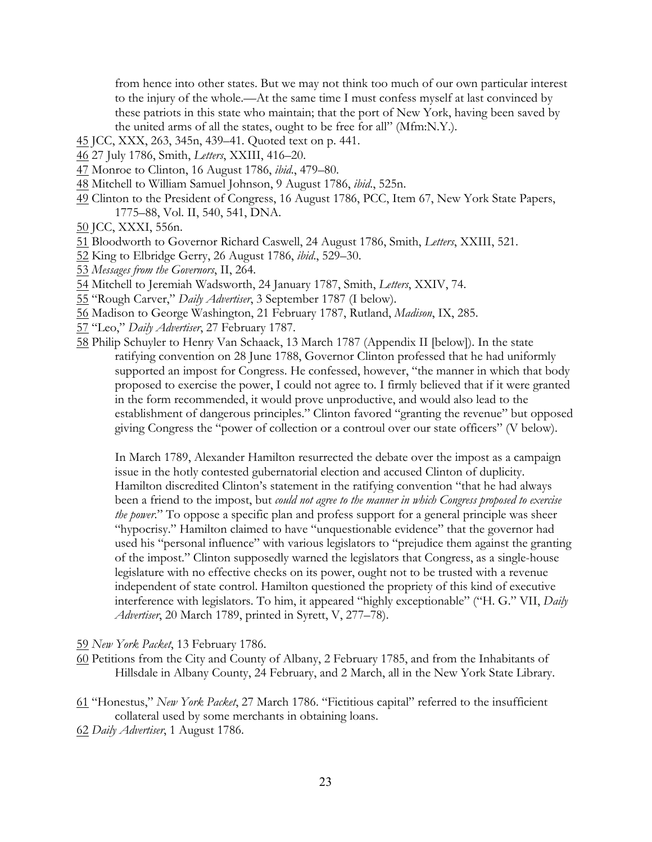from hence into other states. But we may not think too much of our own particular interest to the injury of the whole.—At the same time I must confess myself at last convinced by these patriots in this state who maintain; that the port of New York, having been saved by the united arms of all the states, ought to be free for all" (Mfm:N.Y.).

- 45 JCC, XXX, 263, 345n, 439–41. Quoted text on p. 441.
- 46 27 July 1786, Smith, *Letters*, XXIII, 416–20.
- 47 Monroe to Clinton, 16 August 1786, *ibid*., 479–80.
- 48 Mitchell to William Samuel Johnson, 9 August 1786, *ibid*., 525n.
- 49 Clinton to the President of Congress, 16 August 1786, PCC, Item 67, New York State Papers, 1775–88, Vol. II, 540, 541, DNA.
- 50 JCC, XXXI, 556n.
- 51 Bloodworth to Governor Richard Caswell, 24 August 1786, Smith, *Letters*, XXIII, 521.
- 52 King to Elbridge Gerry, 26 August 1786, *ibid*., 529–30.
- 53 *Messages from the Governors*, II, 264.
- 54 Mitchell to Jeremiah Wadsworth, 24 January 1787, Smith, *Letters*, XXIV, 74.
- 55 "Rough Carver," *Daily Advertiser*, 3 September 1787 (I below).
- 56 Madison to George Washington, 21 February 1787, Rutland, *Madison*, IX, 285.
- 57 "Leo," *Daily Advertiser*, 27 February 1787.
- 58 Philip Schuyler to Henry Van Schaack, 13 March 1787 (Appendix II [below]). In the state ratifying convention on 28 June 1788, Governor Clinton professed that he had uniformly supported an impost for Congress. He confessed, however, "the manner in which that body proposed to exercise the power, I could not agree to. I firmly believed that if it were granted in the form recommended, it would prove unproductive, and would also lead to the establishment of dangerous principles." Clinton favored "granting the revenue" but opposed giving Congress the "power of collection or a controul over our state officers" (V below).

In March 1789, Alexander Hamilton resurrected the debate over the impost as a campaign issue in the hotly contested gubernatorial election and accused Clinton of duplicity. Hamilton discredited Clinton's statement in the ratifying convention "that he had always been a friend to the impost, but *could not agree to the manner in which Congress proposed to exercise the power*." To oppose a specific plan and profess support for a general principle was sheer "hypocrisy." Hamilton claimed to have "unquestionable evidence" that the governor had used his "personal influence" with various legislators to "prejudice them against the granting of the impost." Clinton supposedly warned the legislators that Congress, as a single-house legislature with no effective checks on its power, ought not to be trusted with a revenue independent of state control. Hamilton questioned the propriety of this kind of executive interference with legislators. To him, it appeared "highly exceptionable" ("H. G." VII, *Daily Advertiser*, 20 March 1789, printed in Syrett, V, 277–78).

59 *New York Packet*, 13 February 1786.

- 60 Petitions from the City and County of Albany, 2 February 1785, and from the Inhabitants of Hillsdale in Albany County, 24 February, and 2 March, all in the New York State Library.
- 61 "Honestus," *New York Packet*, 27 March 1786. "Fictitious capital" referred to the insufficient collateral used by some merchants in obtaining loans.
- 62 *Daily Advertiser*, 1 August 1786.